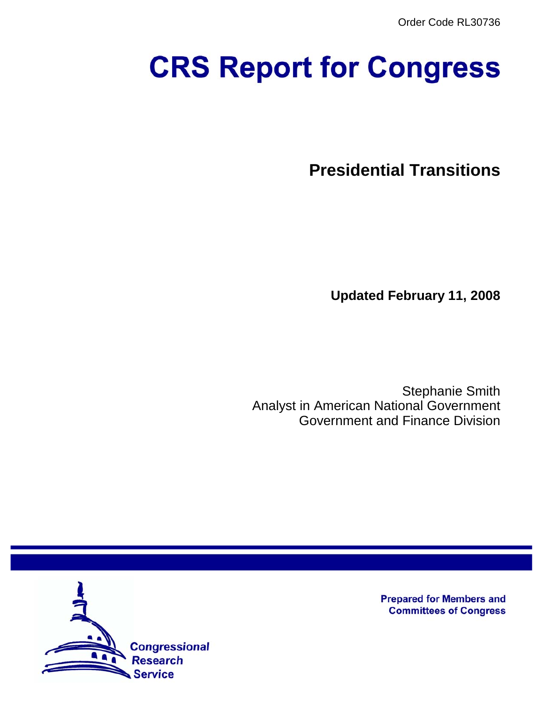Order Code RL30736

# **CRS Report for Congress**

**Presidential Transitions**

**Updated February 11, 2008**

Stephanie Smith Analyst in American National Government Government and Finance Division



**Prepared for Members and Committees of Congress**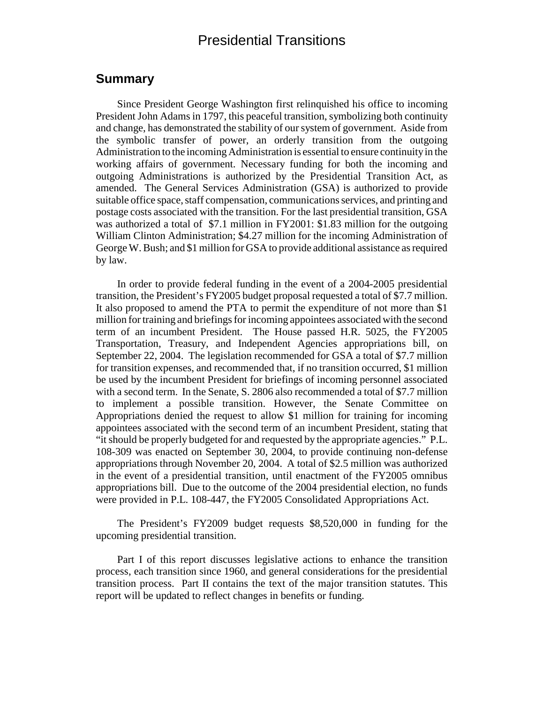# Presidential Transitions

### **Summary**

Since President George Washington first relinquished his office to incoming President John Adams in 1797, this peaceful transition, symbolizing both continuity and change, has demonstrated the stability of our system of government. Aside from the symbolic transfer of power, an orderly transition from the outgoing Administration to the incoming Administration is essential to ensure continuity in the working affairs of government. Necessary funding for both the incoming and outgoing Administrations is authorized by the Presidential Transition Act, as amended. The General Services Administration (GSA) is authorized to provide suitable office space, staff compensation, communications services, and printing and postage costs associated with the transition. For the last presidential transition, GSA was authorized a total of \$7.1 million in FY2001: \$1.83 million for the outgoing William Clinton Administration; \$4.27 million for the incoming Administration of George W. Bush; and \$1 million for GSA to provide additional assistance as required by law.

In order to provide federal funding in the event of a 2004-2005 presidential transition, the President's FY2005 budget proposal requested a total of \$7.7 million. It also proposed to amend the PTA to permit the expenditure of not more than \$1 million for training and briefings for incoming appointees associated with the second term of an incumbent President. The House passed H.R. 5025, the FY2005 Transportation, Treasury, and Independent Agencies appropriations bill, on September 22, 2004. The legislation recommended for GSA a total of \$7.7 million for transition expenses, and recommended that, if no transition occurred, \$1 million be used by the incumbent President for briefings of incoming personnel associated with a second term. In the Senate, S. 2806 also recommended a total of \$7.7 million to implement a possible transition. However, the Senate Committee on Appropriations denied the request to allow \$1 million for training for incoming appointees associated with the second term of an incumbent President, stating that "it should be properly budgeted for and requested by the appropriate agencies." P.L. 108-309 was enacted on September 30, 2004, to provide continuing non-defense appropriations through November 20, 2004. A total of \$2.5 million was authorized in the event of a presidential transition, until enactment of the FY2005 omnibus appropriations bill. Due to the outcome of the 2004 presidential election, no funds were provided in P.L. 108-447, the FY2005 Consolidated Appropriations Act.

The President's FY2009 budget requests \$8,520,000 in funding for the upcoming presidential transition.

Part I of this report discusses legislative actions to enhance the transition process, each transition since 1960, and general considerations for the presidential transition process. Part II contains the text of the major transition statutes. This report will be updated to reflect changes in benefits or funding.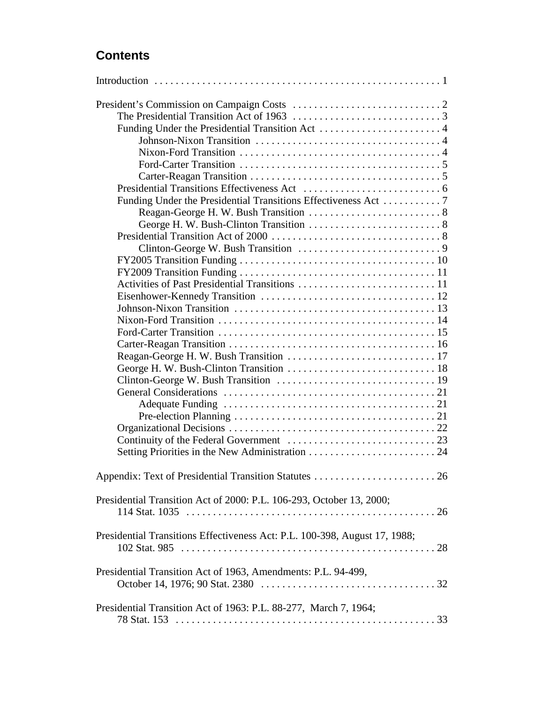# **Contents**

| Presidential Transition Act of 2000: P.L. 106-293, October 13, 2000;       |  |
|----------------------------------------------------------------------------|--|
|                                                                            |  |
|                                                                            |  |
| Presidential Transitions Effectiveness Act: P.L. 100-398, August 17, 1988; |  |
|                                                                            |  |
| Presidential Transition Act of 1963, Amendments: P.L. 94-499,              |  |
|                                                                            |  |
| Presidential Transition Act of 1963: P.L. 88-277, March 7, 1964;           |  |
|                                                                            |  |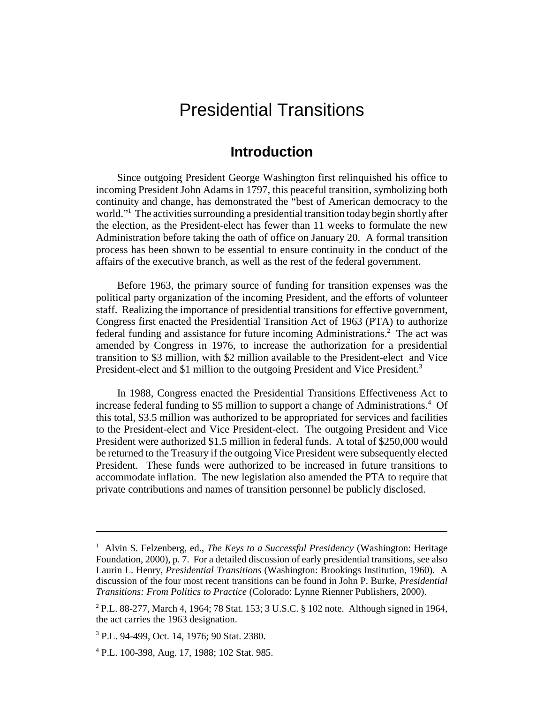# Presidential Transitions

### **Introduction**

Since outgoing President George Washington first relinquished his office to incoming President John Adams in 1797, this peaceful transition, symbolizing both continuity and change, has demonstrated the "best of American democracy to the world."<sup>1</sup> The activities surrounding a presidential transition today begin shortly after the election, as the President-elect has fewer than 11 weeks to formulate the new Administration before taking the oath of office on January 20. A formal transition process has been shown to be essential to ensure continuity in the conduct of the affairs of the executive branch, as well as the rest of the federal government.

Before 1963, the primary source of funding for transition expenses was the political party organization of the incoming President, and the efforts of volunteer staff. Realizing the importance of presidential transitions for effective government, Congress first enacted the Presidential Transition Act of 1963 (PTA) to authorize federal funding and assistance for future incoming Administrations.<sup>2</sup> The act was amended by Congress in 1976, to increase the authorization for a presidential transition to \$3 million, with \$2 million available to the President-elect and Vice President-elect and \$1 million to the outgoing President and Vice President.<sup>3</sup>

In 1988, Congress enacted the Presidential Transitions Effectiveness Act to increase federal funding to \$5 million to support a change of Administrations.<sup>4</sup> Of this total, \$3.5 million was authorized to be appropriated for services and facilities to the President-elect and Vice President-elect. The outgoing President and Vice President were authorized \$1.5 million in federal funds. A total of \$250,000 would be returned to the Treasury if the outgoing Vice President were subsequently elected President. These funds were authorized to be increased in future transitions to accommodate inflation. The new legislation also amended the PTA to require that private contributions and names of transition personnel be publicly disclosed.

<sup>&</sup>lt;sup>1</sup> Alvin S. Felzenberg, ed., *The Keys to a Successful Presidency* (Washington: Heritage Foundation, 2000), p. 7. For a detailed discussion of early presidential transitions, see also Laurin L. Henry, *Presidential Transitions* (Washington: Brookings Institution, 1960). A discussion of the four most recent transitions can be found in John P. Burke, *Presidential Transitions: From Politics to Practice* (Colorado: Lynne Rienner Publishers, 2000).

<sup>&</sup>lt;sup>2</sup> P.L. 88-277, March 4, 1964; 78 Stat. 153; 3 U.S.C. § 102 note. Although signed in 1964, the act carries the 1963 designation.

<sup>3</sup> P.L. 94-499, Oct. 14, 1976; 90 Stat. 2380.

<sup>4</sup> P.L. 100-398, Aug. 17, 1988; 102 Stat. 985.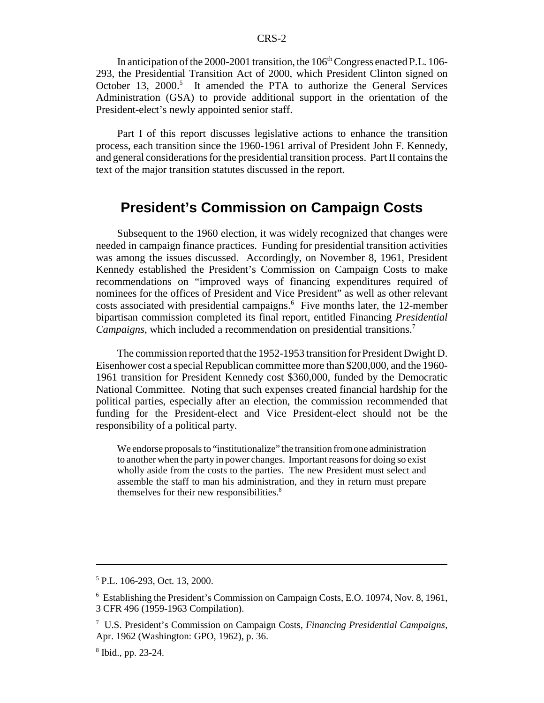In anticipation of the 2000-2001 transition, the  $106<sup>th</sup>$  Congress enacted P.L. 106-293, the Presidential Transition Act of 2000, which President Clinton signed on October 13, 2000.<sup>5</sup> It amended the PTA to authorize the General Services Administration (GSA) to provide additional support in the orientation of the President-elect's newly appointed senior staff.

Part I of this report discusses legislative actions to enhance the transition process, each transition since the 1960-1961 arrival of President John F. Kennedy, and general considerations for the presidential transition process. Part II contains the text of the major transition statutes discussed in the report.

### **President's Commission on Campaign Costs**

Subsequent to the 1960 election, it was widely recognized that changes were needed in campaign finance practices. Funding for presidential transition activities was among the issues discussed. Accordingly, on November 8, 1961, President Kennedy established the President's Commission on Campaign Costs to make recommendations on "improved ways of financing expenditures required of nominees for the offices of President and Vice President" as well as other relevant costs associated with presidential campaigns.<sup>6</sup> Five months later, the 12-member bipartisan commission completed its final report, entitled Financing *Presidential Campaigns*, which included a recommendation on presidential transitions.<sup>7</sup>

The commission reported that the 1952-1953 transition for President Dwight D. Eisenhower cost a special Republican committee more than \$200,000, and the 1960- 1961 transition for President Kennedy cost \$360,000, funded by the Democratic National Committee. Noting that such expenses created financial hardship for the political parties, especially after an election, the commission recommended that funding for the President-elect and Vice President-elect should not be the responsibility of a political party.

We endorse proposals to "institutionalize" the transition from one administration to another when the party in power changes. Important reasons for doing so exist wholly aside from the costs to the parties. The new President must select and assemble the staff to man his administration, and they in return must prepare themselves for their new responsibilities.<sup>8</sup>

<sup>5</sup> P.L. 106-293, Oct. 13, 2000.

<sup>6</sup> Establishing the President's Commission on Campaign Costs, E.O. 10974, Nov. 8, 1961, 3 CFR 496 (1959-1963 Compilation).

<sup>7</sup> U.S. President's Commission on Campaign Costs, *Financing Presidential Campaigns*, Apr. 1962 (Washington: GPO, 1962), p. 36.

<sup>8</sup> Ibid., pp. 23-24.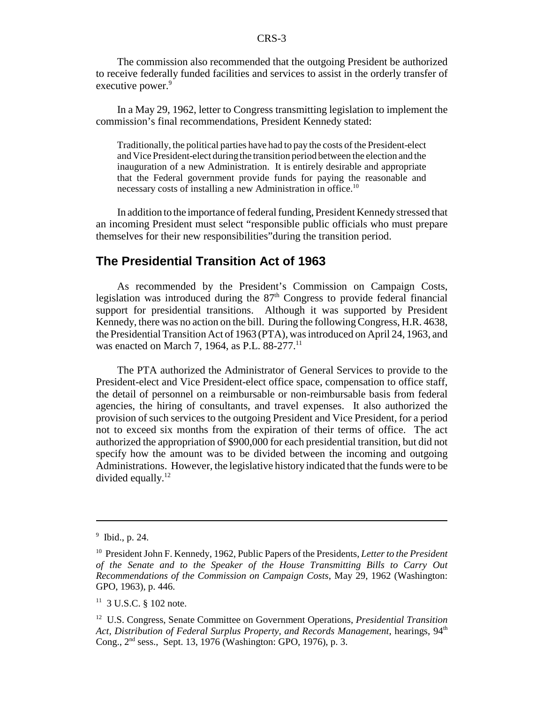The commission also recommended that the outgoing President be authorized to receive federally funded facilities and services to assist in the orderly transfer of executive power.<sup>9</sup>

In a May 29, 1962, letter to Congress transmitting legislation to implement the commission's final recommendations, President Kennedy stated:

Traditionally, the political parties have had to pay the costs of the President-elect and Vice President-elect during the transition period between the election and the inauguration of a new Administration. It is entirely desirable and appropriate that the Federal government provide funds for paying the reasonable and necessary costs of installing a new Administration in office.10

In addition to the importance of federal funding, President Kennedy stressed that an incoming President must select "responsible public officials who must prepare themselves for their new responsibilities"during the transition period.

### **The Presidential Transition Act of 1963**

As recommended by the President's Commission on Campaign Costs, legislation was introduced during the  $87<sup>th</sup>$  Congress to provide federal financial support for presidential transitions. Although it was supported by President Kennedy, there was no action on the bill. During the following Congress, H.R. 4638, the Presidential Transition Act of 1963 (PTA), was introduced on April 24, 1963, and was enacted on March 7, 1964, as P.L. 88-277.<sup>11</sup>

The PTA authorized the Administrator of General Services to provide to the President-elect and Vice President-elect office space, compensation to office staff, the detail of personnel on a reimbursable or non-reimbursable basis from federal agencies, the hiring of consultants, and travel expenses. It also authorized the provision of such services to the outgoing President and Vice President, for a period not to exceed six months from the expiration of their terms of office. The act authorized the appropriation of \$900,000 for each presidential transition, but did not specify how the amount was to be divided between the incoming and outgoing Administrations. However, the legislative history indicated that the funds were to be divided equally. $^{12}$ 

<sup>9</sup> Ibid., p. 24.

<sup>10</sup> President John F. Kennedy, 1962, Public Papers of the Presidents, *Letter to the President of the Senate and to the Speaker of the House Transmitting Bills to Carry Out Recommendations of the Commission on Campaign Costs*, May 29, 1962 (Washington: GPO, 1963), p. 446.

 $11$  3 U.S.C. § 102 note.

<sup>12</sup> U.S. Congress, Senate Committee on Government Operations, *Presidential Transition* Act, Distribution of Federal Surplus Property, and Records Management, hearings, 94<sup>th</sup> Cong., 2nd sess., Sept. 13, 1976 (Washington: GPO, 1976), p. 3.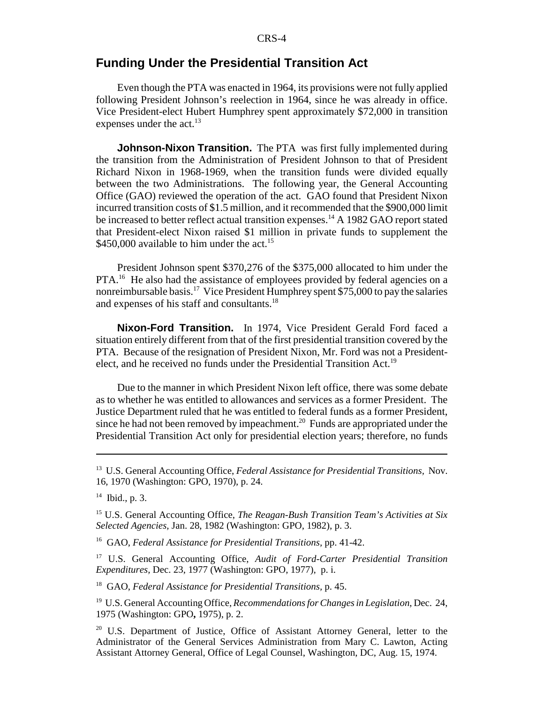### **Funding Under the Presidential Transition Act**

Even though the PTA was enacted in 1964, its provisions were not fully applied following President Johnson's reelection in 1964, since he was already in office. Vice President-elect Hubert Humphrey spent approximately \$72,000 in transition expenses under the act. $^{13}$ 

**Johnson-Nixon Transition.** The PTA was first fully implemented during the transition from the Administration of President Johnson to that of President Richard Nixon in 1968-1969, when the transition funds were divided equally between the two Administrations. The following year, the General Accounting Office (GAO) reviewed the operation of the act. GAO found that President Nixon incurred transition costs of \$1.5 million, and it recommended that the \$900,000 limit be increased to better reflect actual transition expenses.<sup>14</sup> A 1982 GAO report stated that President-elect Nixon raised \$1 million in private funds to supplement the \$450,000 available to him under the act.<sup>15</sup>

President Johnson spent \$370,276 of the \$375,000 allocated to him under the PTA.<sup>16</sup> He also had the assistance of employees provided by federal agencies on a nonreimbursable basis.<sup>17</sup> Vice President Humphrey spent \$75,000 to pay the salaries and expenses of his staff and consultants.18

**Nixon-Ford Transition.** In 1974, Vice President Gerald Ford faced a situation entirely different from that of the first presidential transition covered by the PTA. Because of the resignation of President Nixon, Mr. Ford was not a Presidentelect, and he received no funds under the Presidential Transition Act.19

Due to the manner in which President Nixon left office, there was some debate as to whether he was entitled to allowances and services as a former President. The Justice Department ruled that he was entitled to federal funds as a former President, since he had not been removed by impeachment.<sup>20</sup> Funds are appropriated under the Presidential Transition Act only for presidential election years; therefore, no funds

16 GAO, *Federal Assistance for Presidential Transitions,* pp. 41-42.

17 U.S. General Accounting Office, *Audit of Ford-Carter Presidential Transition Expenditures,* Dec. 23, 1977 (Washington: GPO, 1977), p. i.

18 GAO, *Federal Assistance for Presidential Transitions,* p. 45.

19 U.S. General Accounting Office, *Recommendations for Changes in Legislation*, Dec. 24, 1975 (Washington: GPO**,** 1975), p. 2.

<sup>20</sup> U.S. Department of Justice, Office of Assistant Attorney General, letter to the Administrator of the General Services Administration from Mary C. Lawton, Acting Assistant Attorney General, Office of Legal Counsel, Washington, DC, Aug. 15, 1974.

<sup>13</sup> U.S. General Accounting Office, *Federal Assistance for Presidential Transitions,* Nov. 16, 1970 (Washington: GPO, 1970), p. 24.

 $14$  Ibid., p. 3.

<sup>15</sup> U.S. General Accounting Office, *The Reagan-Bush Transition Team's Activities at Six Selected Agencies,* Jan. 28, 1982 (Washington: GPO, 1982), p. 3.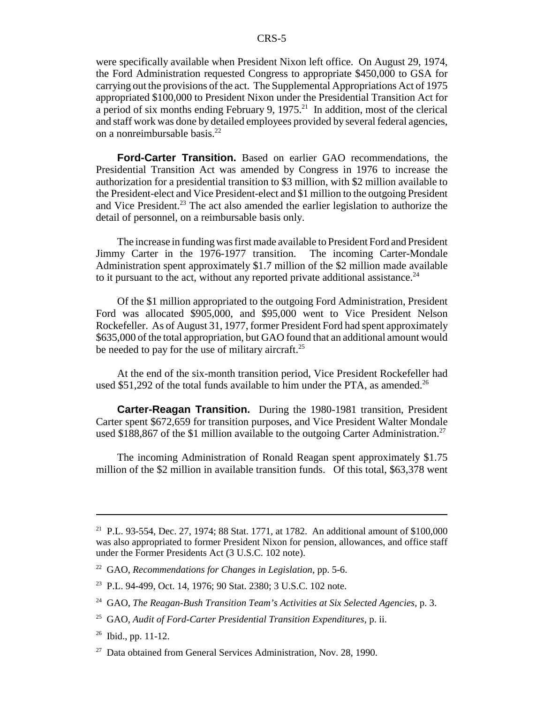were specifically available when President Nixon left office. On August 29, 1974, the Ford Administration requested Congress to appropriate \$450,000 to GSA for carrying out the provisions of the act. The Supplemental Appropriations Act of 1975 appropriated \$100,000 to President Nixon under the Presidential Transition Act for a period of six months ending February 9,  $1975$ <sup>21</sup> In addition, most of the clerical and staff work was done by detailed employees provided by several federal agencies, on a nonreimbursable basis.22

**Ford-Carter Transition.** Based on earlier GAO recommendations, the Presidential Transition Act was amended by Congress in 1976 to increase the authorization for a presidential transition to \$3 million, with \$2 million available to the President-elect and Vice President-elect and \$1 million to the outgoing President and Vice President.<sup>23</sup> The act also amended the earlier legislation to authorize the detail of personnel, on a reimbursable basis only.

The increase in funding was first made available to President Ford and President Jimmy Carter in the 1976-1977 transition. The incoming Carter-Mondale Administration spent approximately \$1.7 million of the \$2 million made available to it pursuant to the act, without any reported private additional assistance.<sup>24</sup>

Of the \$1 million appropriated to the outgoing Ford Administration, President Ford was allocated \$905,000, and \$95,000 went to Vice President Nelson Rockefeller. As of August 31, 1977, former President Ford had spent approximately \$635,000 of the total appropriation, but GAO found that an additional amount would be needed to pay for the use of military aircraft.<sup>25</sup>

At the end of the six-month transition period, Vice President Rockefeller had used \$51,292 of the total funds available to him under the PTA, as amended.<sup>26</sup>

**Carter-Reagan Transition.** During the 1980-1981 transition, President Carter spent \$672,659 for transition purposes, and Vice President Walter Mondale used \$188,867 of the \$1 million available to the outgoing Carter Administration.<sup>27</sup>

The incoming Administration of Ronald Reagan spent approximately \$1.75 million of the \$2 million in available transition funds. Of this total, \$63,378 went

<sup>21</sup> P.L. 93-554, Dec. 27, 1974; 88 Stat. 1771, at 1782. An additional amount of \$100,000 was also appropriated to former President Nixon for pension, allowances, and office staff under the Former Presidents Act (3 U.S.C. 102 note).

<sup>22</sup> GAO, *Recommendations for Changes in Legislation*, pp. 5-6.

<sup>23</sup> P.L. 94-499, Oct. 14, 1976; 90 Stat. 2380; 3 U.S.C. 102 note.

<sup>24</sup> GAO, *The Reagan-Bush Transition Team's Activities at Six Selected Agencies,* p. 3.

<sup>25</sup> GAO, *Audit of Ford-Carter Presidential Transition Expenditures,* p. ii.

 $26$  Ibid., pp. 11-12.

 $27$  Data obtained from General Services Administration, Nov. 28, 1990.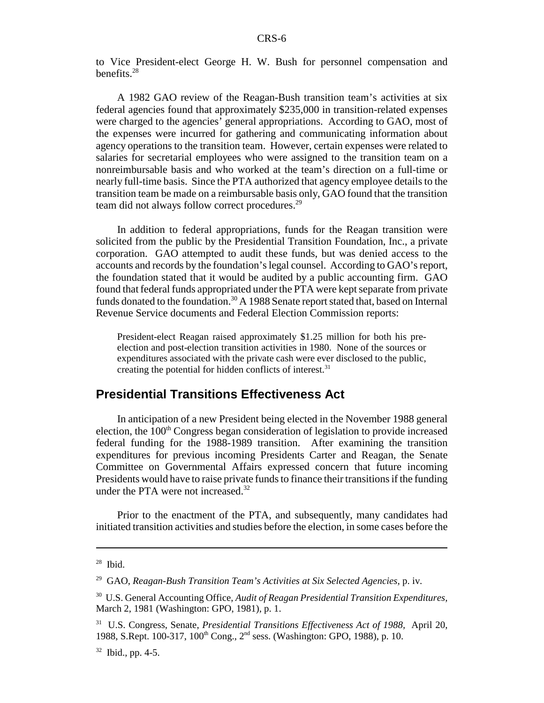to Vice President-elect George H. W. Bush for personnel compensation and benefits.28

A 1982 GAO review of the Reagan-Bush transition team's activities at six federal agencies found that approximately \$235,000 in transition-related expenses were charged to the agencies' general appropriations. According to GAO, most of the expenses were incurred for gathering and communicating information about agency operations to the transition team. However, certain expenses were related to salaries for secretarial employees who were assigned to the transition team on a nonreimbursable basis and who worked at the team's direction on a full-time or nearly full-time basis. Since the PTA authorized that agency employee details to the transition team be made on a reimbursable basis only, GAO found that the transition team did not always follow correct procedures.<sup>29</sup>

In addition to federal appropriations, funds for the Reagan transition were solicited from the public by the Presidential Transition Foundation, Inc., a private corporation. GAO attempted to audit these funds, but was denied access to the accounts and records by the foundation's legal counsel. According to GAO's report, the foundation stated that it would be audited by a public accounting firm. GAO found that federal funds appropriated under the PTA were kept separate from private funds donated to the foundation.<sup>30</sup> A 1988 Senate report stated that, based on Internal Revenue Service documents and Federal Election Commission reports:

President-elect Reagan raised approximately \$1.25 million for both his preelection and post-election transition activities in 1980. None of the sources or expenditures associated with the private cash were ever disclosed to the public, creating the potential for hidden conflicts of interest.<sup>31</sup>

### **Presidential Transitions Effectiveness Act**

In anticipation of a new President being elected in the November 1988 general election, the 100<sup>th</sup> Congress began consideration of legislation to provide increased federal funding for the 1988-1989 transition. After examining the transition expenditures for previous incoming Presidents Carter and Reagan, the Senate Committee on Governmental Affairs expressed concern that future incoming Presidents would have to raise private funds to finance their transitions if the funding under the PTA were not increased. $32$ 

Prior to the enactment of the PTA, and subsequently, many candidates had initiated transition activities and studies before the election, in some cases before the

<sup>28</sup> Ibid.

<sup>29</sup> GAO, *Reagan-Bush Transition Team's Activities at Six Selected Agencies,* p. iv.

<sup>30</sup> U.S. General Accounting Office, *Audit of Reagan Presidential Transition Expenditures,* March 2, 1981 (Washington: GPO, 1981), p. 1.

<sup>31</sup> U.S. Congress, Senate, *Presidential Transitions Effectiveness Act of 1988,* April 20, 1988, S.Rept. 100-317, 100<sup>th</sup> Cong., 2<sup>nd</sup> sess. (Washington: GPO, 1988), p. 10.

 $32$  Ibid., pp. 4-5.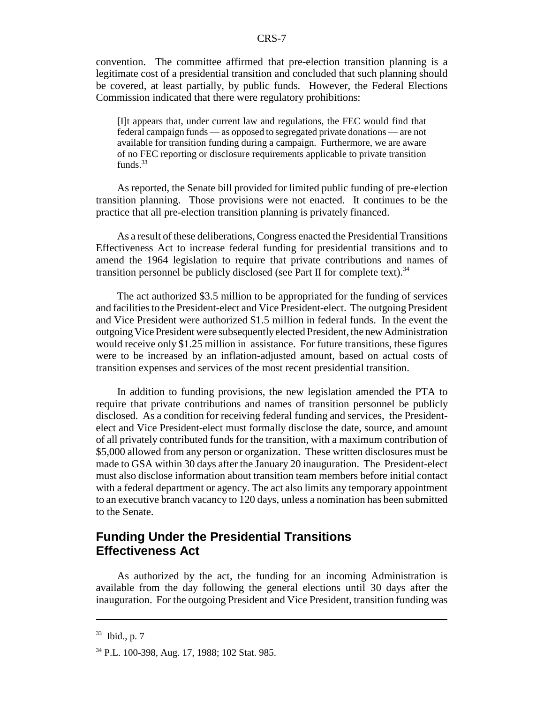convention. The committee affirmed that pre-election transition planning is a legitimate cost of a presidential transition and concluded that such planning should be covered, at least partially, by public funds. However, the Federal Elections Commission indicated that there were regulatory prohibitions:

[I]t appears that, under current law and regulations, the FEC would find that federal campaign funds — as opposed to segregated private donations — are not available for transition funding during a campaign. Furthermore, we are aware of no FEC reporting or disclosure requirements applicable to private transition funds. $33$ 

As reported, the Senate bill provided for limited public funding of pre-election transition planning. Those provisions were not enacted. It continues to be the practice that all pre-election transition planning is privately financed.

As a result of these deliberations, Congress enacted the Presidential Transitions Effectiveness Act to increase federal funding for presidential transitions and to amend the 1964 legislation to require that private contributions and names of transition personnel be publicly disclosed (see Part II for complete text).<sup>34</sup>

The act authorized \$3.5 million to be appropriated for the funding of services and facilities to the President-elect and Vice President-elect. The outgoing President and Vice President were authorized \$1.5 million in federal funds. In the event the outgoing Vice President were subsequently elected President, the new Administration would receive only \$1.25 million in assistance. For future transitions, these figures were to be increased by an inflation-adjusted amount, based on actual costs of transition expenses and services of the most recent presidential transition.

In addition to funding provisions, the new legislation amended the PTA to require that private contributions and names of transition personnel be publicly disclosed. As a condition for receiving federal funding and services, the Presidentelect and Vice President-elect must formally disclose the date, source, and amount of all privately contributed funds for the transition, with a maximum contribution of \$5,000 allowed from any person or organization. These written disclosures must be made to GSA within 30 days after the January 20 inauguration. The President-elect must also disclose information about transition team members before initial contact with a federal department or agency. The act also limits any temporary appointment to an executive branch vacancy to 120 days, unless a nomination has been submitted to the Senate.

### **Funding Under the Presidential Transitions Effectiveness Act**

As authorized by the act, the funding for an incoming Administration is available from the day following the general elections until 30 days after the inauguration. For the outgoing President and Vice President, transition funding was

 $33$  Ibid., p. 7

<sup>34</sup> P.L. 100-398, Aug. 17, 1988; 102 Stat. 985.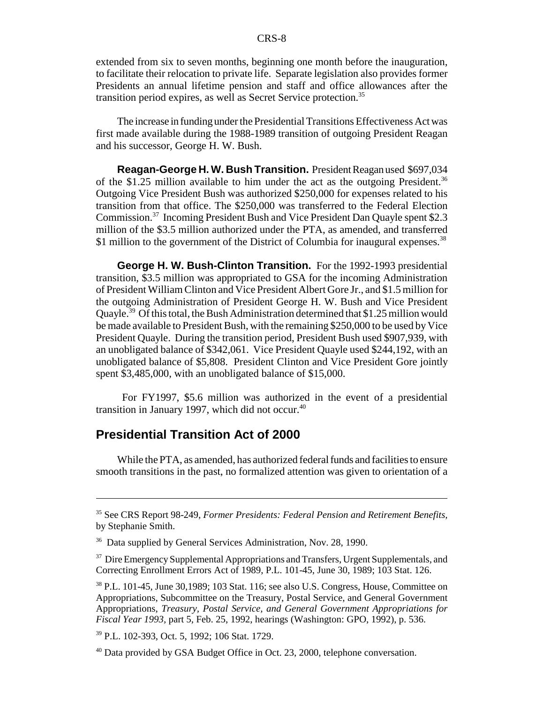extended from six to seven months, beginning one month before the inauguration, to facilitate their relocation to private life. Separate legislation also provides former Presidents an annual lifetime pension and staff and office allowances after the transition period expires, as well as Secret Service protection.35

The increase in funding under the Presidential Transitions Effectiveness Act was first made available during the 1988-1989 transition of outgoing President Reagan and his successor, George H. W. Bush.

**Reagan-George H. W. Bush Transition.** President Reagan used \$697,034 of the \$1.25 million available to him under the act as the outgoing President.<sup>36</sup> Outgoing Vice President Bush was authorized \$250,000 for expenses related to his transition from that office. The \$250,000 was transferred to the Federal Election Commission.37 Incoming President Bush and Vice President Dan Quayle spent \$2.3 million of the \$3.5 million authorized under the PTA, as amended, and transferred \$1 million to the government of the District of Columbia for inaugural expenses.<sup>38</sup>

**George H. W. Bush-Clinton Transition.** For the 1992-1993 presidential transition, \$3.5 million was appropriated to GSA for the incoming Administration of President William Clinton and Vice President Albert Gore Jr., and \$1.5 million for the outgoing Administration of President George H. W. Bush and Vice President Quayle.39 Of this total, the Bush Administration determined that \$1.25 million would be made available to President Bush, with the remaining \$250,000 to be used by Vice President Quayle. During the transition period, President Bush used \$907,939, with an unobligated balance of \$342,061. Vice President Quayle used \$244,192, with an unobligated balance of \$5,808. President Clinton and Vice President Gore jointly spent \$3,485,000, with an unobligated balance of \$15,000.

 For FY1997, \$5.6 million was authorized in the event of a presidential transition in January 1997, which did not occur. $40$ 

### **Presidential Transition Act of 2000**

While the PTA, as amended, has authorized federal funds and facilities to ensure smooth transitions in the past, no formalized attention was given to orientation of a

<sup>35</sup> See CRS Report 98-249, *Former Presidents: Federal Pension and Retirement Benefits,* by Stephanie Smith.

<sup>&</sup>lt;sup>36</sup> Data supplied by General Services Administration, Nov. 28, 1990.

<sup>&</sup>lt;sup>37</sup> Dire Emergency Supplemental Appropriations and Transfers, Urgent Supplementals, and Correcting Enrollment Errors Act of 1989, P.L. 101-45, June 30, 1989; 103 Stat. 126.

<sup>38</sup> P.L. 101-45, June 30,1989; 103 Stat. 116; see also U.S. Congress, House, Committee on Appropriations, Subcommittee on the Treasury, Postal Service, and General Government Appropriations, *Treasury, Postal Service, and General Government Appropriations for Fiscal Year 1993,* part 5, Feb. 25, 1992, hearings (Washington: GPO, 1992), p. 536.

<sup>39</sup> P.L. 102-393, Oct. 5, 1992; 106 Stat. 1729.

<sup>&</sup>lt;sup>40</sup> Data provided by GSA Budget Office in Oct. 23, 2000, telephone conversation.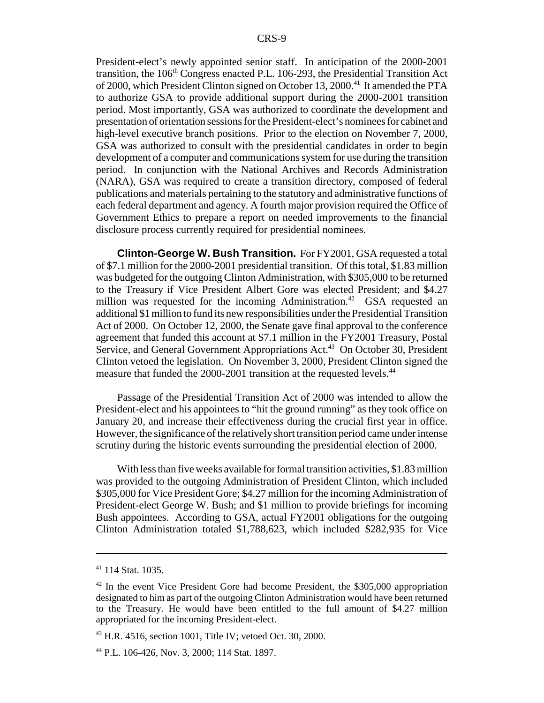President-elect's newly appointed senior staff. In anticipation of the 2000-2001 transition, the  $106<sup>th</sup>$  Congress enacted P.L. 106-293, the Presidential Transition Act of 2000, which President Clinton signed on October 13, 2000.<sup>41</sup> It amended the PTA to authorize GSA to provide additional support during the 2000-2001 transition period. Most importantly, GSA was authorized to coordinate the development and presentation of orientation sessions for the President-elect's nominees for cabinet and high-level executive branch positions. Prior to the election on November 7, 2000, GSA was authorized to consult with the presidential candidates in order to begin development of a computer and communications system for use during the transition period. In conjunction with the National Archives and Records Administration (NARA), GSA was required to create a transition directory, composed of federal publications and materials pertaining to the statutory and administrative functions of each federal department and agency. A fourth major provision required the Office of Government Ethics to prepare a report on needed improvements to the financial disclosure process currently required for presidential nominees.

**Clinton-George W. Bush Transition.** For FY2001, GSA requested a total of \$7.1 million for the 2000-2001 presidential transition. Of this total, \$1.83 million was budgeted for the outgoing Clinton Administration, with \$305,000 to be returned to the Treasury if Vice President Albert Gore was elected President; and \$4.27 million was requested for the incoming Administration.<sup>42</sup> GSA requested an additional \$1 million to fund its new responsibilities under the Presidential Transition Act of 2000. On October 12, 2000, the Senate gave final approval to the conference agreement that funded this account at \$7.1 million in the FY2001 Treasury, Postal Service, and General Government Appropriations Act.<sup>43</sup> On October 30, President Clinton vetoed the legislation. On November 3, 2000, President Clinton signed the measure that funded the 2000-2001 transition at the requested levels.<sup>44</sup>

Passage of the Presidential Transition Act of 2000 was intended to allow the President-elect and his appointees to "hit the ground running" as they took office on January 20, and increase their effectiveness during the crucial first year in office. However, the significance of the relatively short transition period came under intense scrutiny during the historic events surrounding the presidential election of 2000.

With less than five weeks available for formal transition activities, \$1.83 million was provided to the outgoing Administration of President Clinton, which included \$305,000 for Vice President Gore; \$4.27 million for the incoming Administration of President-elect George W. Bush; and \$1 million to provide briefings for incoming Bush appointees. According to GSA, actual FY2001 obligations for the outgoing Clinton Administration totaled \$1,788,623, which included \$282,935 for Vice

<sup>41 114</sup> Stat. 1035.

<sup>&</sup>lt;sup>42</sup> In the event Vice President Gore had become President, the \$305,000 appropriation designated to him as part of the outgoing Clinton Administration would have been returned to the Treasury. He would have been entitled to the full amount of \$4.27 million appropriated for the incoming President-elect.

<sup>43</sup> H.R. 4516, section 1001, Title IV; vetoed Oct. 30, 2000.

<sup>44</sup> P.L. 106-426, Nov. 3, 2000; 114 Stat. 1897.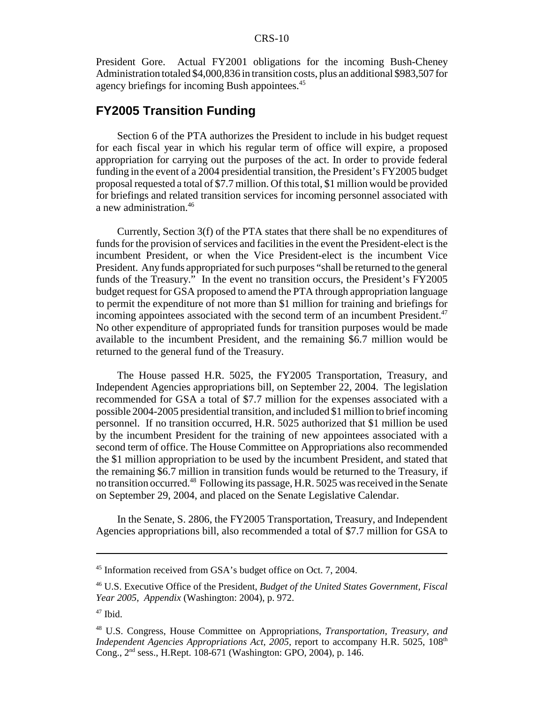President Gore. Actual FY2001 obligations for the incoming Bush-Cheney Administration totaled \$4,000,836 in transition costs, plus an additional \$983,507 for agency briefings for incoming Bush appointees.<sup>45</sup>

### **FY2005 Transition Funding**

Section 6 of the PTA authorizes the President to include in his budget request for each fiscal year in which his regular term of office will expire, a proposed appropriation for carrying out the purposes of the act. In order to provide federal funding in the event of a 2004 presidential transition, the President's FY2005 budget proposal requested a total of \$7.7 million. Of this total, \$1 million would be provided for briefings and related transition services for incoming personnel associated with a new administration.46

Currently, Section 3(f) of the PTA states that there shall be no expenditures of funds for the provision of services and facilities in the event the President-elect is the incumbent President, or when the Vice President-elect is the incumbent Vice President. Any funds appropriated for such purposes "shall be returned to the general funds of the Treasury." In the event no transition occurs, the President's FY2005 budget request for GSA proposed to amend the PTA through appropriation language to permit the expenditure of not more than \$1 million for training and briefings for incoming appointees associated with the second term of an incumbent President.<sup>47</sup> No other expenditure of appropriated funds for transition purposes would be made available to the incumbent President, and the remaining \$6.7 million would be returned to the general fund of the Treasury.

The House passed H.R. 5025, the FY2005 Transportation, Treasury, and Independent Agencies appropriations bill, on September 22, 2004. The legislation recommended for GSA a total of \$7.7 million for the expenses associated with a possible 2004-2005 presidential transition, and included \$1 million to brief incoming personnel. If no transition occurred, H.R. 5025 authorized that \$1 million be used by the incumbent President for the training of new appointees associated with a second term of office. The House Committee on Appropriations also recommended the \$1 million appropriation to be used by the incumbent President, and stated that the remaining \$6.7 million in transition funds would be returned to the Treasury, if no transition occurred.48 Following its passage, H.R. 5025 was received in the Senate on September 29, 2004, and placed on the Senate Legislative Calendar.

In the Senate, S. 2806, the FY2005 Transportation, Treasury, and Independent Agencies appropriations bill, also recommended a total of \$7.7 million for GSA to

<sup>45</sup> Information received from GSA's budget office on Oct. 7, 2004.

<sup>46</sup> U.S. Executive Office of the President, *Budget of the United States Government, Fiscal Year 2005, Appendix* (Washington: 2004), p. 972.

 $47$  Ibid.

<sup>48</sup> U.S. Congress, House Committee on Appropriations, *Transportation, Treasury, and Independent Agencies Appropriations Act, 2005*, report to accompany H.R. 5025, 108<sup>th</sup> Cong., 2nd sess., H.Rept. 108-671 (Washington: GPO, 2004), p. 146.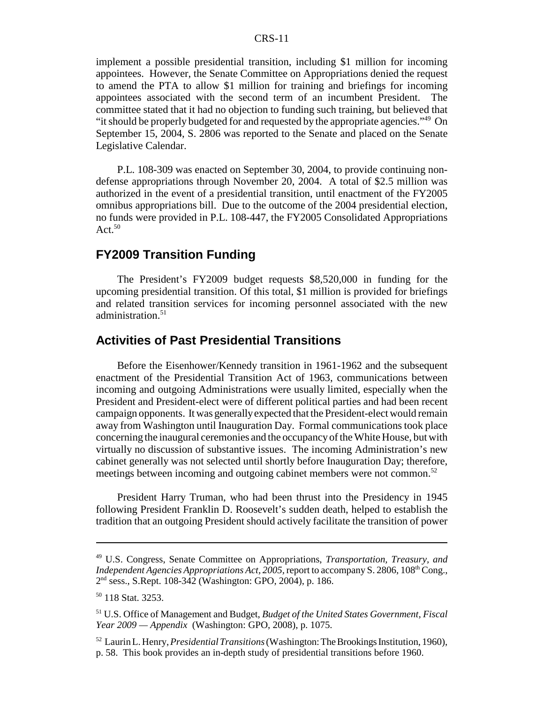implement a possible presidential transition, including \$1 million for incoming appointees. However, the Senate Committee on Appropriations denied the request to amend the PTA to allow \$1 million for training and briefings for incoming appointees associated with the second term of an incumbent President. The committee stated that it had no objection to funding such training, but believed that "it should be properly budgeted for and requested by the appropriate agencies."49 On September 15, 2004, S. 2806 was reported to the Senate and placed on the Senate Legislative Calendar.

P.L. 108-309 was enacted on September 30, 2004, to provide continuing nondefense appropriations through November 20, 2004. A total of \$2.5 million was authorized in the event of a presidential transition, until enactment of the FY2005 omnibus appropriations bill. Due to the outcome of the 2004 presidential election, no funds were provided in P.L. 108-447, the FY2005 Consolidated Appropriations Act. $50$ 

### **FY2009 Transition Funding**

The President's FY2009 budget requests \$8,520,000 in funding for the upcoming presidential transition. Of this total, \$1 million is provided for briefings and related transition services for incoming personnel associated with the new administration.<sup>51</sup>

### **Activities of Past Presidential Transitions**

Before the Eisenhower/Kennedy transition in 1961-1962 and the subsequent enactment of the Presidential Transition Act of 1963, communications between incoming and outgoing Administrations were usually limited, especially when the President and President-elect were of different political parties and had been recent campaign opponents. It was generally expected that the President-elect would remain away from Washington until Inauguration Day. Formal communications took place concerning the inaugural ceremonies and the occupancy of the White House, but with virtually no discussion of substantive issues. The incoming Administration's new cabinet generally was not selected until shortly before Inauguration Day; therefore, meetings between incoming and outgoing cabinet members were not common.<sup>52</sup>

President Harry Truman, who had been thrust into the Presidency in 1945 following President Franklin D. Roosevelt's sudden death, helped to establish the tradition that an outgoing President should actively facilitate the transition of power

<sup>49</sup> U.S. Congress, Senate Committee on Appropriations, *Transportation, Treasury, and Independent Agencies Appropriations Act, 2005, report to accompany S. 2806, 108<sup>th</sup> Cong.,* 2nd sess., S.Rept. 108-342 (Washington: GPO, 2004), p. 186.

<sup>50 118</sup> Stat. 3253.

<sup>51</sup> U.S. Office of Management and Budget, *Budget of the United States Government, Fiscal Year 2009 — Appendix* (Washington: GPO, 2008), p. 1075.

<sup>52</sup> Laurin L. Henry, *Presidential Transitions* (Washington: The Brookings Institution, 1960), p. 58. This book provides an in-depth study of presidential transitions before 1960.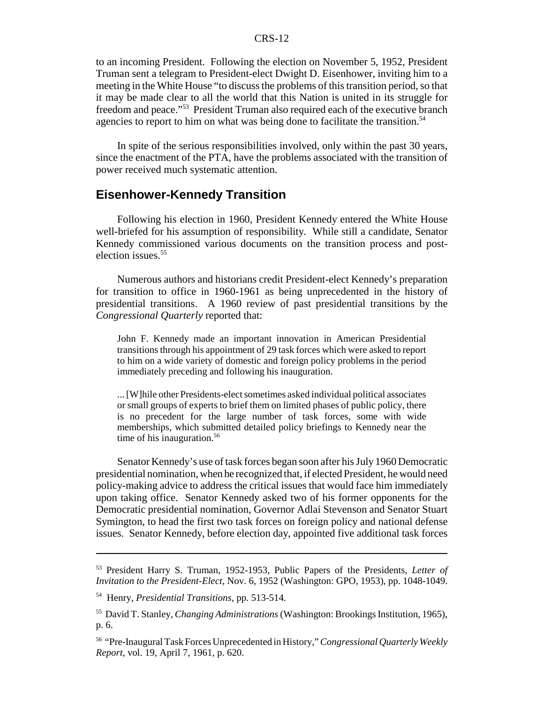to an incoming President. Following the election on November 5, 1952, President Truman sent a telegram to President-elect Dwight D. Eisenhower, inviting him to a meeting in the White House "to discuss the problems of this transition period, so that it may be made clear to all the world that this Nation is united in its struggle for freedom and peace."53 President Truman also required each of the executive branch agencies to report to him on what was being done to facilitate the transition.<sup>54</sup>

In spite of the serious responsibilities involved, only within the past 30 years, since the enactment of the PTA, have the problems associated with the transition of power received much systematic attention.

### **Eisenhower-Kennedy Transition**

Following his election in 1960, President Kennedy entered the White House well-briefed for his assumption of responsibility. While still a candidate, Senator Kennedy commissioned various documents on the transition process and postelection issues.<sup>55</sup>

Numerous authors and historians credit President-elect Kennedy's preparation for transition to office in 1960-1961 as being unprecedented in the history of presidential transitions. A 1960 review of past presidential transitions by the *Congressional Quarterly* reported that:

John F. Kennedy made an important innovation in American Presidential transitions through his appointment of 29 task forces which were asked to report to him on a wide variety of domestic and foreign policy problems in the period immediately preceding and following his inauguration.

... [W]hile other Presidents-elect sometimes asked individual political associates or small groups of experts to brief them on limited phases of public policy, there is no precedent for the large number of task forces, some with wide memberships, which submitted detailed policy briefings to Kennedy near the time of his inauguration.<sup>56</sup>

Senator Kennedy's use of task forces began soon after his July 1960 Democratic presidential nomination, when he recognized that, if elected President, he would need policy-making advice to address the critical issues that would face him immediately upon taking office. Senator Kennedy asked two of his former opponents for the Democratic presidential nomination, Governor Adlai Stevenson and Senator Stuart Symington, to head the first two task forces on foreign policy and national defense issues. Senator Kennedy, before election day, appointed five additional task forces

<sup>53</sup> President Harry S. Truman, 1952-1953, Public Papers of the Presidents, *Letter of Invitation to the President-Elect*, Nov. 6, 1952 (Washington: GPO, 1953), pp. 1048-1049.

<sup>54</sup> Henry, *Presidential Transitions,* pp. 513-514.

<sup>55</sup> David T. Stanley, *Changing Administrations* (Washington: Brookings Institution, 1965), p. 6.

<sup>56 &</sup>quot;Pre-Inaugural Task Forces Unprecedented in History," *Congressional Quarterly Weekly Report,* vol. 19, April 7, 1961, p. 620.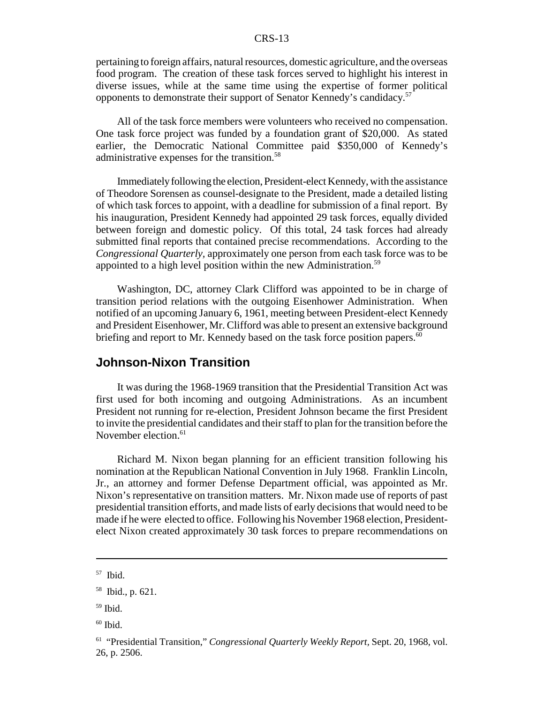pertaining to foreign affairs, natural resources, domestic agriculture, and the overseas food program. The creation of these task forces served to highlight his interest in diverse issues, while at the same time using the expertise of former political opponents to demonstrate their support of Senator Kennedy's candidacy.57

All of the task force members were volunteers who received no compensation. One task force project was funded by a foundation grant of \$20,000. As stated earlier, the Democratic National Committee paid \$350,000 of Kennedy's administrative expenses for the transition.<sup>58</sup>

Immediately following the election, President-elect Kennedy, with the assistance of Theodore Sorensen as counsel-designate to the President, made a detailed listing of which task forces to appoint, with a deadline for submission of a final report. By his inauguration, President Kennedy had appointed 29 task forces, equally divided between foreign and domestic policy. Of this total, 24 task forces had already submitted final reports that contained precise recommendations. According to the *Congressional Quarterly,* approximately one person from each task force was to be appointed to a high level position within the new Administration.<sup>59</sup>

Washington, DC, attorney Clark Clifford was appointed to be in charge of transition period relations with the outgoing Eisenhower Administration. When notified of an upcoming January 6, 1961, meeting between President-elect Kennedy and President Eisenhower, Mr. Clifford was able to present an extensive background briefing and report to Mr. Kennedy based on the task force position papers. $60$ 

### **Johnson-Nixon Transition**

It was during the 1968-1969 transition that the Presidential Transition Act was first used for both incoming and outgoing Administrations. As an incumbent President not running for re-election, President Johnson became the first President to invite the presidential candidates and their staff to plan for the transition before the November election.<sup>61</sup>

Richard M. Nixon began planning for an efficient transition following his nomination at the Republican National Convention in July 1968. Franklin Lincoln, Jr., an attorney and former Defense Department official, was appointed as Mr. Nixon's representative on transition matters. Mr. Nixon made use of reports of past presidential transition efforts, and made lists of early decisions that would need to be made if he were elected to office. Following his November 1968 election, Presidentelect Nixon created approximately 30 task forces to prepare recommendations on

<sup>57</sup> Ibid.

<sup>58</sup> Ibid., p. 621.

<sup>59</sup> Ibid.

 $60$  Ibid.

<sup>61 &</sup>quot;Presidential Transition," *Congressional Quarterly Weekly Report,* Sept. 20, 1968, vol. 26, p. 2506.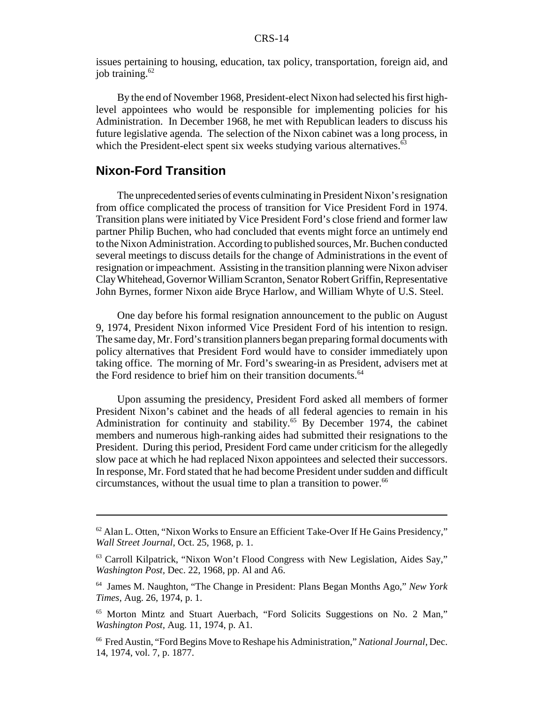issues pertaining to housing, education, tax policy, transportation, foreign aid, and job training. $62$ 

By the end of November 1968, President-elect Nixon had selected his first highlevel appointees who would be responsible for implementing policies for his Administration. In December 1968, he met with Republican leaders to discuss his future legislative agenda. The selection of the Nixon cabinet was a long process, in which the President-elect spent six weeks studying various alternatives.<sup>63</sup>

### **Nixon-Ford Transition**

The unprecedented series of events culminating in President Nixon's resignation from office complicated the process of transition for Vice President Ford in 1974. Transition plans were initiated by Vice President Ford's close friend and former law partner Philip Buchen, who had concluded that events might force an untimely end to the Nixon Administration. According to published sources, Mr. Buchen conducted several meetings to discuss details for the change of Administrations in the event of resignation or impeachment. Assisting in the transition planning were Nixon adviser Clay Whitehead, Governor William Scranton, Senator Robert Griffin, Representative John Byrnes, former Nixon aide Bryce Harlow, and William Whyte of U.S. Steel.

One day before his formal resignation announcement to the public on August 9, 1974, President Nixon informed Vice President Ford of his intention to resign. The same day, Mr. Ford's transition planners began preparing formal documents with policy alternatives that President Ford would have to consider immediately upon taking office. The morning of Mr. Ford's swearing-in as President, advisers met at the Ford residence to brief him on their transition documents.<sup>64</sup>

Upon assuming the presidency, President Ford asked all members of former President Nixon's cabinet and the heads of all federal agencies to remain in his Administration for continuity and stability.<sup>65</sup> By December 1974, the cabinet members and numerous high-ranking aides had submitted their resignations to the President. During this period, President Ford came under criticism for the allegedly slow pace at which he had replaced Nixon appointees and selected their successors. In response, Mr. Ford stated that he had become President under sudden and difficult circumstances, without the usual time to plan a transition to power.<sup>66</sup>

 $62$  Alan L. Otten, "Nixon Works to Ensure an Efficient Take-Over If He Gains Presidency," *Wall Street Journal*, Oct. 25, 1968, p. 1.

<sup>63</sup> Carroll Kilpatrick, "Nixon Won't Flood Congress with New Legislation, Aides Say," *Washington Post,* Dec. 22, 1968, pp. Al and A6.

<sup>64</sup> James M. Naughton, "The Change in President: Plans Began Months Ago," *New York Times,* Aug. 26, 1974, p. 1.

<sup>65</sup> Morton Mintz and Stuart Auerbach, "Ford Solicits Suggestions on No. 2 Man," *Washington Post,* Aug. 11, 1974, p. A1.

<sup>66</sup> Fred Austin, "Ford Begins Move to Reshape his Administration," *National Journal*, Dec. 14, 1974, vol. 7, p. 1877.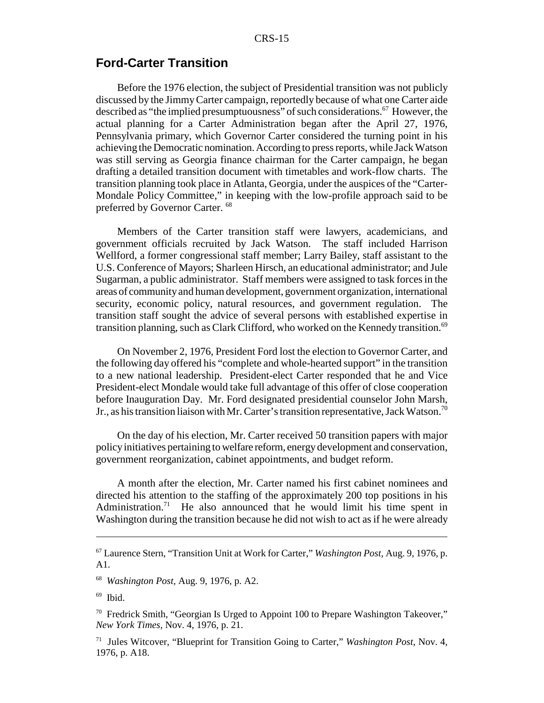### **Ford-Carter Transition**

Before the 1976 election, the subject of Presidential transition was not publicly discussed by the Jimmy Carter campaign, reportedly because of what one Carter aide described as "the implied presumptuousness" of such considerations.<sup>67</sup> However, the actual planning for a Carter Administration began after the April 27, 1976, Pennsylvania primary, which Governor Carter considered the turning point in his achieving the Democratic nomination. According to press reports, while Jack Watson was still serving as Georgia finance chairman for the Carter campaign, he began drafting a detailed transition document with timetables and work-flow charts. The transition planning took place in Atlanta, Georgia, under the auspices of the "Carter-Mondale Policy Committee," in keeping with the low-profile approach said to be preferred by Governor Carter. 68

Members of the Carter transition staff were lawyers, academicians, and government officials recruited by Jack Watson. The staff included Harrison Wellford, a former congressional staff member; Larry Bailey, staff assistant to the U.S. Conference of Mayors; Sharleen Hirsch, an educational administrator; and Jule Sugarman, a public administrator. Staff members were assigned to task forces in the areas of community and human development, government organization, international security, economic policy, natural resources, and government regulation. The transition staff sought the advice of several persons with established expertise in transition planning, such as Clark Clifford, who worked on the Kennedy transition.<sup>69</sup>

On November 2, 1976, President Ford lost the election to Governor Carter, and the following day offered his "complete and whole-hearted support" in the transition to a new national leadership. President-elect Carter responded that he and Vice President-elect Mondale would take full advantage of this offer of close cooperation before Inauguration Day. Mr. Ford designated presidential counselor John Marsh, Jr., as his transition liaison with Mr. Carter's transition representative, Jack Watson.<sup>70</sup>

On the day of his election, Mr. Carter received 50 transition papers with major policy initiatives pertaining to welfare reform, energy development and conservation, government reorganization, cabinet appointments, and budget reform.

A month after the election, Mr. Carter named his first cabinet nominees and directed his attention to the staffing of the approximately 200 top positions in his Administration.<sup>71</sup> He also announced that he would limit his time spent in Washington during the transition because he did not wish to act as if he were already

<sup>67</sup> Laurence Stern, "Transition Unit at Work for Carter," *Washington Post,* Aug. 9, 1976, p. A1.

<sup>68</sup> *Washington Post,* Aug. 9, 1976, p. A2.

 $69$  Ibid.

<sup>&</sup>lt;sup>70</sup> Fredrick Smith, "Georgian Is Urged to Appoint 100 to Prepare Washington Takeover," *New York Times,* Nov. 4, 1976, p. 21.

<sup>71</sup> Jules Witcover, "Blueprint for Transition Going to Carter," *Washington Post,* Nov. 4, 1976, p. A18.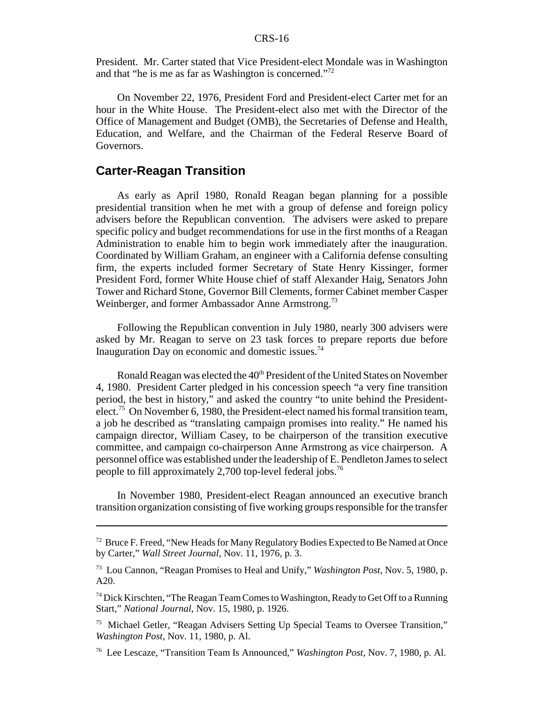President. Mr. Carter stated that Vice President-elect Mondale was in Washington and that "he is me as far as Washington is concerned."72

On November 22, 1976, President Ford and President-elect Carter met for an hour in the White House. The President-elect also met with the Director of the Office of Management and Budget (OMB), the Secretaries of Defense and Health, Education, and Welfare, and the Chairman of the Federal Reserve Board of Governors.

### **Carter-Reagan Transition**

As early as April 1980, Ronald Reagan began planning for a possible presidential transition when he met with a group of defense and foreign policy advisers before the Republican convention. The advisers were asked to prepare specific policy and budget recommendations for use in the first months of a Reagan Administration to enable him to begin work immediately after the inauguration. Coordinated by William Graham, an engineer with a California defense consulting firm, the experts included former Secretary of State Henry Kissinger, former President Ford, former White House chief of staff Alexander Haig, Senators John Tower and Richard Stone, Governor Bill Clements, former Cabinet member Casper Weinberger, and former Ambassador Anne Armstrong.<sup>73</sup>

Following the Republican convention in July 1980, nearly 300 advisers were asked by Mr. Reagan to serve on 23 task forces to prepare reports due before Inauguration Day on economic and domestic issues.74

Ronald Reagan was elected the 40<sup>th</sup> President of the United States on November 4, 1980. President Carter pledged in his concession speech "a very fine transition period, the best in history," and asked the country "to unite behind the Presidentelect.75 On November 6, 1980, the President-elect named his formal transition team, a job he described as "translating campaign promises into reality." He named his campaign director, William Casey, to be chairperson of the transition executive committee, and campaign co-chairperson Anne Armstrong as vice chairperson. A personnel office was established under the leadership of E. Pendleton James to select people to fill approximately 2,700 top-level federal jobs.76

In November 1980, President-elect Reagan announced an executive branch transition organization consisting of five working groups responsible for the transfer

<sup>&</sup>lt;sup>72</sup> Bruce F. Freed, "New Heads for Many Regulatory Bodies Expected to Be Named at Once by Carter," *Wall Street Journal,* Nov. 11, 1976, p. 3.

<sup>73</sup> Lou Cannon, "Reagan Promises to Heal and Unify," *Washington Post,* Nov. 5, 1980, p. A20.

 $74$  Dick Kirschten, "The Reagan Team Comes to Washington, Ready to Get Off to a Running Start," *National Journal*, Nov. 15, 1980, p. 1926.

<sup>75</sup> Michael Getler, "Reagan Advisers Setting Up Special Teams to Oversee Transition," *Washington Post,* Nov. 11, 1980, p. Al.

<sup>76</sup> Lee Lescaze, "Transition Team Is Announced," *Washington Post,* Nov. 7, 1980, p. Al.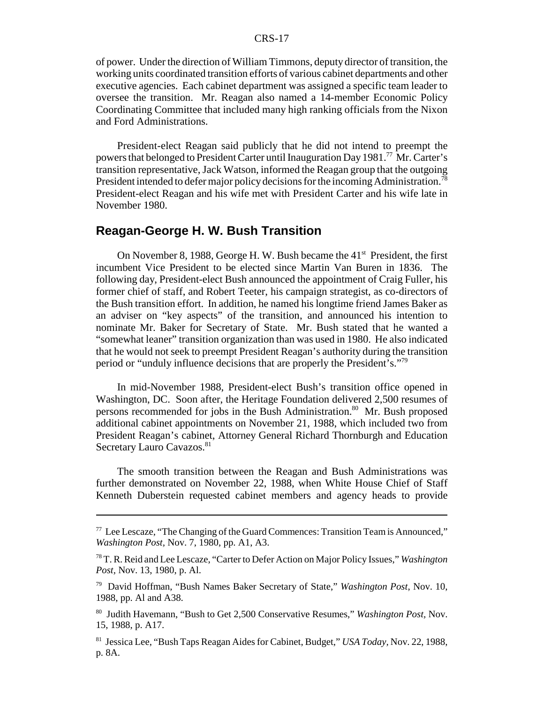of power. Under the direction of William Timmons, deputy director of transition, the working units coordinated transition efforts of various cabinet departments and other executive agencies. Each cabinet department was assigned a specific team leader to oversee the transition. Mr. Reagan also named a 14-member Economic Policy Coordinating Committee that included many high ranking officials from the Nixon and Ford Administrations.

President-elect Reagan said publicly that he did not intend to preempt the powers that belonged to President Carter until Inauguration Day 1981.77 Mr. Carter's transition representative, Jack Watson, informed the Reagan group that the outgoing President intended to defer major policy decisions for the incoming Administration.<sup>78</sup> President-elect Reagan and his wife met with President Carter and his wife late in November 1980.

### **Reagan-George H. W. Bush Transition**

On November 8, 1988, George H. W. Bush became the 41<sup>st</sup> President, the first incumbent Vice President to be elected since Martin Van Buren in 1836. The following day, President-elect Bush announced the appointment of Craig Fuller, his former chief of staff, and Robert Teeter, his campaign strategist, as co-directors of the Bush transition effort. In addition, he named his longtime friend James Baker as an adviser on "key aspects" of the transition, and announced his intention to nominate Mr. Baker for Secretary of State. Mr. Bush stated that he wanted a "somewhat leaner" transition organization than was used in 1980. He also indicated that he would not seek to preempt President Reagan's authority during the transition period or "unduly influence decisions that are properly the President's."<sup>79</sup>

In mid-November 1988, President-elect Bush's transition office opened in Washington, DC. Soon after, the Heritage Foundation delivered 2,500 resumes of persons recommended for jobs in the Bush Administration.<sup>80</sup> Mr. Bush proposed additional cabinet appointments on November 21, 1988, which included two from President Reagan's cabinet, Attorney General Richard Thornburgh and Education Secretary Lauro Cavazos.<sup>81</sup>

The smooth transition between the Reagan and Bush Administrations was further demonstrated on November 22, 1988, when White House Chief of Staff Kenneth Duberstein requested cabinet members and agency heads to provide

 $77$  Lee Lescaze, "The Changing of the Guard Commences: Transition Team is Announced," *Washington Post,* Nov. 7, 1980, pp. A1, A3.

<sup>78</sup> T. R. Reid and Lee Lescaze, "Carter to Defer Action on Major Policy Issues," *Washington Post,* Nov. 13, 1980, p. Al.

<sup>79</sup> David Hoffman, "Bush Names Baker Secretary of State," *Washington Post*, Nov. 10, 1988, pp. Al and A38.

<sup>80</sup> Judith Havemann, "Bush to Get 2,500 Conservative Resumes," *Washington Post,* Nov. 15, 1988, p. A17.

<sup>81</sup> Jessica Lee, "Bush Taps Reagan Aides for Cabinet, Budget," *USA Today,* Nov. 22, 1988, p. 8A.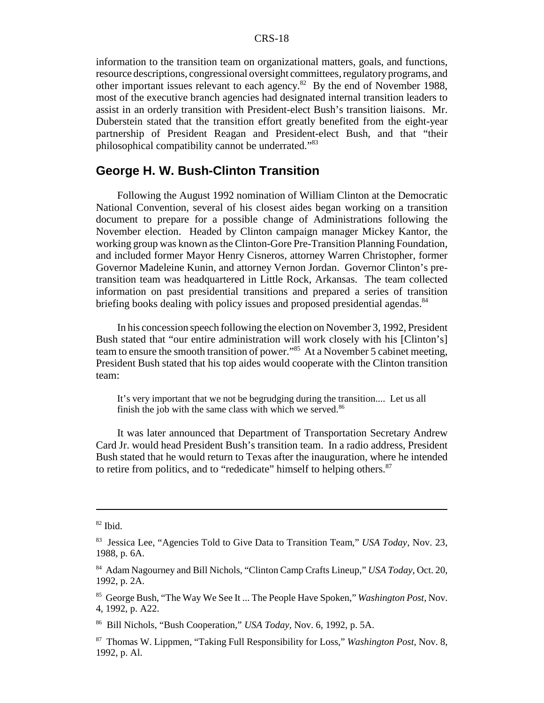information to the transition team on organizational matters, goals, and functions, resource descriptions, congressional oversight committees, regulatory programs, and other important issues relevant to each agency.<sup>82</sup> By the end of November 1988, most of the executive branch agencies had designated internal transition leaders to assist in an orderly transition with President-elect Bush's transition liaisons. Mr. Duberstein stated that the transition effort greatly benefited from the eight-year partnership of President Reagan and President-elect Bush, and that "their philosophical compatibility cannot be underrated."83

### **George H. W. Bush-Clinton Transition**

Following the August 1992 nomination of William Clinton at the Democratic National Convention, several of his closest aides began working on a transition document to prepare for a possible change of Administrations following the November election. Headed by Clinton campaign manager Mickey Kantor, the working group was known as the Clinton-Gore Pre-Transition Planning Foundation, and included former Mayor Henry Cisneros, attorney Warren Christopher, former Governor Madeleine Kunin, and attorney Vernon Jordan. Governor Clinton's pretransition team was headquartered in Little Rock, Arkansas. The team collected information on past presidential transitions and prepared a series of transition briefing books dealing with policy issues and proposed presidential agendas.<sup>84</sup>

In his concession speech following the election on November 3, 1992, President Bush stated that "our entire administration will work closely with his [Clinton's] team to ensure the smooth transition of power."<sup>85</sup> At a November 5 cabinet meeting, President Bush stated that his top aides would cooperate with the Clinton transition team:

It's very important that we not be begrudging during the transition.... Let us all finish the job with the same class with which we served.<sup>86</sup>

It was later announced that Department of Transportation Secretary Andrew Card Jr. would head President Bush's transition team. In a radio address, President Bush stated that he would return to Texas after the inauguration, where he intended to retire from politics, and to "rededicate" himself to helping others.<sup>87</sup>

 $82$  Ibid.

<sup>83</sup> Jessica Lee, "Agencies Told to Give Data to Transition Team," *USA Today,* Nov. 23, 1988, p. 6A.

<sup>84</sup> Adam Nagourney and Bill Nichols, "Clinton Camp Crafts Lineup," *USA Today,* Oct. 20, 1992, p. 2A.

<sup>85</sup> George Bush, "The Way We See It ... The People Have Spoken," *Washington Post,* Nov. 4, 1992, p. A22.

<sup>86</sup> Bill Nichols, "Bush Cooperation," *USA Today,* Nov. 6, 1992, p. 5A.

<sup>87</sup> Thomas W. Lippmen, "Taking Full Responsibility for Loss," *Washington Post,* Nov. 8, 1992, p. Al.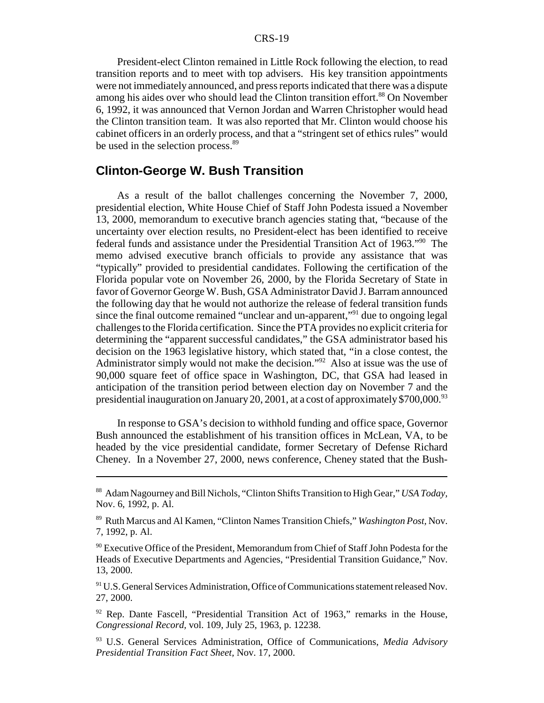President-elect Clinton remained in Little Rock following the election, to read transition reports and to meet with top advisers. His key transition appointments were not immediately announced, and press reports indicated that there was a dispute among his aides over who should lead the Clinton transition effort.<sup>88</sup> On November 6, 1992, it was announced that Vernon Jordan and Warren Christopher would head the Clinton transition team. It was also reported that Mr. Clinton would choose his cabinet officers in an orderly process, and that a "stringent set of ethics rules" would be used in the selection process.<sup>89</sup>

### **Clinton-George W. Bush Transition**

As a result of the ballot challenges concerning the November 7, 2000, presidential election, White House Chief of Staff John Podesta issued a November 13, 2000, memorandum to executive branch agencies stating that, "because of the uncertainty over election results, no President-elect has been identified to receive federal funds and assistance under the Presidential Transition Act of 1963."90 The memo advised executive branch officials to provide any assistance that was "typically" provided to presidential candidates. Following the certification of the Florida popular vote on November 26, 2000, by the Florida Secretary of State in favor of Governor George W. Bush, GSA Administrator David J. Barram announced the following day that he would not authorize the release of federal transition funds since the final outcome remained "unclear and un-apparent,"91 due to ongoing legal challenges to the Florida certification. Since the PTA provides no explicit criteria for determining the "apparent successful candidates," the GSA administrator based his decision on the 1963 legislative history, which stated that, "in a close contest, the Administrator simply would not make the decision."<sup>92</sup> Also at issue was the use of 90,000 square feet of office space in Washington, DC, that GSA had leased in anticipation of the transition period between election day on November 7 and the presidential inauguration on January 20, 2001, at a cost of approximately  $$700,000.<sup>93</sup>$ 

In response to GSA's decision to withhold funding and office space, Governor Bush announced the establishment of his transition offices in McLean, VA, to be headed by the vice presidential candidate, former Secretary of Defense Richard Cheney. In a November 27, 2000, news conference, Cheney stated that the Bush-

<sup>88</sup> Adam Nagourney and Bill Nichols, "Clinton Shifts Transition to High Gear," *USA Today,* Nov. 6, 1992, p. Al.

<sup>89</sup> Ruth Marcus and Al Kamen, "Clinton Names Transition Chiefs," *Washington Post,* Nov. 7, 1992, p. Al.

<sup>&</sup>lt;sup>90</sup> Executive Office of the President, Memorandum from Chief of Staff John Podesta for the Heads of Executive Departments and Agencies, "Presidential Transition Guidance," Nov. 13, 2000.

<sup>&</sup>lt;sup>91</sup> U.S. General Services Administration, Office of Communications statement released Nov. 27, 2000.

<sup>&</sup>lt;sup>92</sup> Rep. Dante Fascell, "Presidential Transition Act of 1963," remarks in the House, *Congressional Record,* vol. 109, July 25, 1963, p. 12238.

<sup>93</sup> U.S. General Services Administration, Office of Communications, *Media Advisory Presidential Transition Fact Sheet,* Nov. 17, 2000.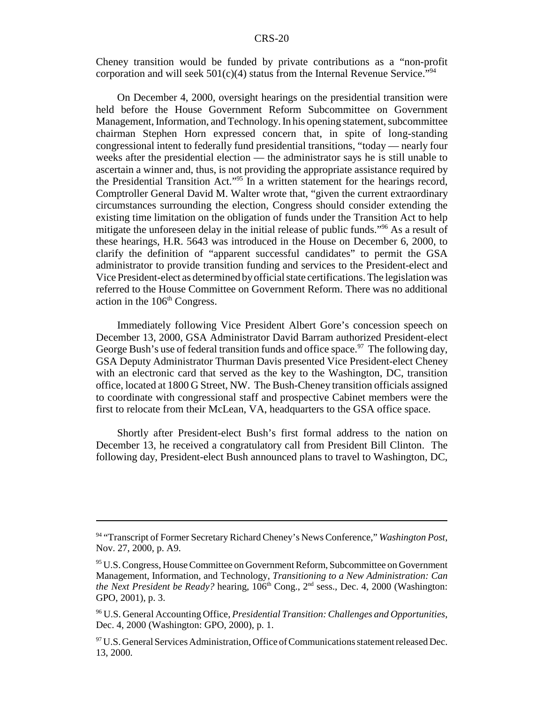Cheney transition would be funded by private contributions as a "non-profit corporation and will seek  $501(c)(4)$  status from the Internal Revenue Service."<sup>94</sup>

On December 4, 2000, oversight hearings on the presidential transition were held before the House Government Reform Subcommittee on Government Management, Information, and Technology. In his opening statement, subcommittee chairman Stephen Horn expressed concern that, in spite of long-standing congressional intent to federally fund presidential transitions, "today — nearly four weeks after the presidential election — the administrator says he is still unable to ascertain a winner and, thus, is not providing the appropriate assistance required by the Presidential Transition Act."95 In a written statement for the hearings record, Comptroller General David M. Walter wrote that, "given the current extraordinary circumstances surrounding the election, Congress should consider extending the existing time limitation on the obligation of funds under the Transition Act to help mitigate the unforeseen delay in the initial release of public funds."96 As a result of these hearings, H.R. 5643 was introduced in the House on December 6, 2000, to clarify the definition of "apparent successful candidates" to permit the GSA administrator to provide transition funding and services to the President-elect and Vice President-elect as determined by official state certifications. The legislation was referred to the House Committee on Government Reform. There was no additional action in the  $106<sup>th</sup> Congress.$ 

Immediately following Vice President Albert Gore's concession speech on December 13, 2000, GSA Administrator David Barram authorized President-elect George Bush's use of federal transition funds and office space.  $97$  The following day, GSA Deputy Administrator Thurman Davis presented Vice President-elect Cheney with an electronic card that served as the key to the Washington, DC, transition office, located at 1800 G Street, NW. The Bush-Cheney transition officials assigned to coordinate with congressional staff and prospective Cabinet members were the first to relocate from their McLean, VA, headquarters to the GSA office space.

Shortly after President-elect Bush's first formal address to the nation on December 13, he received a congratulatory call from President Bill Clinton. The following day, President-elect Bush announced plans to travel to Washington, DC,

<sup>94 &</sup>quot;Transcript of Former Secretary Richard Cheney's News Conference," *Washington Post,* Nov. 27, 2000, p. A9.

<sup>&</sup>lt;sup>95</sup> U.S. Congress, House Committee on Government Reform, Subcommittee on Government Management, Information, and Technology, *Transitioning to a New Administration: Can the Next President be Ready?* hearing, 106<sup>th</sup> Cong., 2<sup>nd</sup> sess., Dec. 4, 2000 (Washington: GPO, 2001), p. 3.

<sup>96</sup> U.S. General Accounting Office, *Presidential Transition: Challenges and Opportunities*, Dec. 4, 2000 (Washington: GPO, 2000), p. 1.

<sup>&</sup>lt;sup>97</sup> U.S. General Services Administration, Office of Communications statement released Dec. 13, 2000.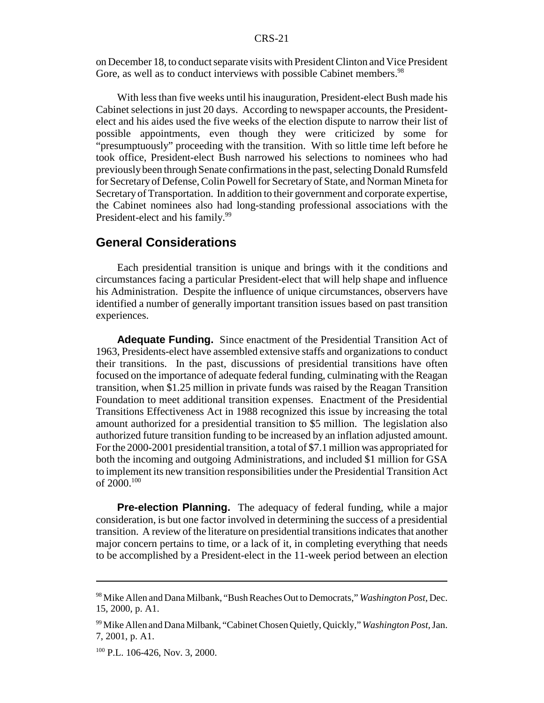on December 18, to conduct separate visits with President Clinton and Vice President Gore, as well as to conduct interviews with possible Cabinet members.<sup>98</sup>

With less than five weeks until his inauguration, President-elect Bush made his Cabinet selections in just 20 days. According to newspaper accounts, the Presidentelect and his aides used the five weeks of the election dispute to narrow their list of possible appointments, even though they were criticized by some for "presumptuously" proceeding with the transition. With so little time left before he took office, President-elect Bush narrowed his selections to nominees who had previously been through Senate confirmations in the past, selecting Donald Rumsfeld for Secretary of Defense, Colin Powell for Secretary of State, and Norman Mineta for Secretary of Transportation. In addition to their government and corporate expertise, the Cabinet nominees also had long-standing professional associations with the President-elect and his family.<sup>99</sup>

### **General Considerations**

Each presidential transition is unique and brings with it the conditions and circumstances facing a particular President-elect that will help shape and influence his Administration. Despite the influence of unique circumstances, observers have identified a number of generally important transition issues based on past transition experiences.

**Adequate Funding.** Since enactment of the Presidential Transition Act of 1963, Presidents-elect have assembled extensive staffs and organizations to conduct their transitions. In the past, discussions of presidential transitions have often focused on the importance of adequate federal funding, culminating with the Reagan transition, when \$1.25 million in private funds was raised by the Reagan Transition Foundation to meet additional transition expenses. Enactment of the Presidential Transitions Effectiveness Act in 1988 recognized this issue by increasing the total amount authorized for a presidential transition to \$5 million. The legislation also authorized future transition funding to be increased by an inflation adjusted amount. For the 2000-2001 presidential transition, a total of \$7.1 million was appropriated for both the incoming and outgoing Administrations, and included \$1 million for GSA to implement its new transition responsibilities under the Presidential Transition Act of 2000.100

**Pre-election Planning.** The adequacy of federal funding, while a major consideration, is but one factor involved in determining the success of a presidential transition. A review of the literature on presidential transitions indicates that another major concern pertains to time, or a lack of it, in completing everything that needs to be accomplished by a President-elect in the 11-week period between an election

<sup>98</sup> Mike Allen and Dana Milbank, "Bush Reaches Out to Democrats," *Washington Post,* Dec. 15, 2000, p. A1.

<sup>99</sup> Mike Allen and Dana Milbank, "Cabinet Chosen Quietly, Quickly," *Washington Post,* Jan. 7, 2001, p. A1.

<sup>100</sup> P.L. 106-426, Nov. 3, 2000.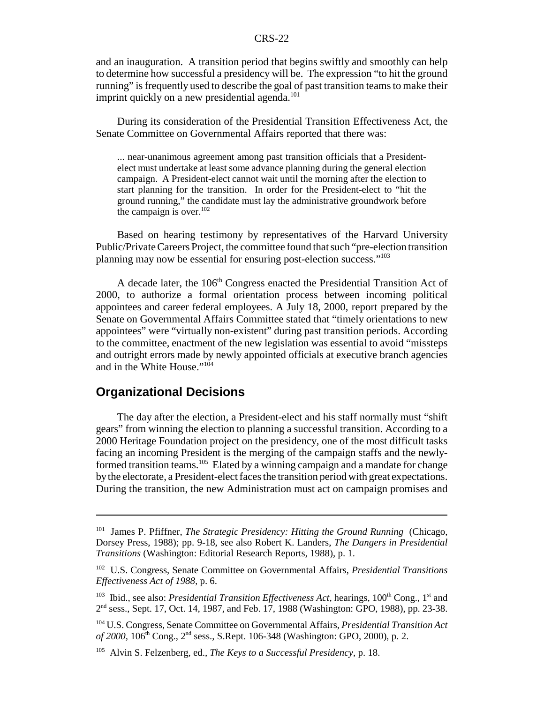and an inauguration. A transition period that begins swiftly and smoothly can help to determine how successful a presidency will be. The expression "to hit the ground running" is frequently used to describe the goal of past transition teams to make their imprint quickly on a new presidential agenda.<sup>101</sup>

During its consideration of the Presidential Transition Effectiveness Act, the Senate Committee on Governmental Affairs reported that there was:

... near-unanimous agreement among past transition officials that a Presidentelect must undertake at least some advance planning during the general election campaign. A President-elect cannot wait until the morning after the election to start planning for the transition. In order for the President-elect to "hit the ground running," the candidate must lay the administrative groundwork before the campaign is over. $102$ 

Based on hearing testimony by representatives of the Harvard University Public/Private Careers Project, the committee found that such "pre-election transition planning may now be essential for ensuring post-election success."103

A decade later, the 106<sup>th</sup> Congress enacted the Presidential Transition Act of 2000, to authorize a formal orientation process between incoming political appointees and career federal employees. A July 18, 2000, report prepared by the Senate on Governmental Affairs Committee stated that "timely orientations to new appointees" were "virtually non-existent" during past transition periods. According to the committee, enactment of the new legislation was essential to avoid "missteps and outright errors made by newly appointed officials at executive branch agencies and in the White House."104

### **Organizational Decisions**

The day after the election, a President-elect and his staff normally must "shift gears" from winning the election to planning a successful transition. According to a 2000 Heritage Foundation project on the presidency, one of the most difficult tasks facing an incoming President is the merging of the campaign staffs and the newlyformed transition teams.<sup>105</sup> Elated by a winning campaign and a mandate for change by the electorate, a President-elect faces the transition period with great expectations. During the transition, the new Administration must act on campaign promises and

<sup>101</sup> James P. Pfiffner, *The Strategic Presidency: Hitting the Ground Running* (Chicago, Dorsey Press, 1988); pp. 9-18, see also Robert K. Landers, *The Dangers in Presidential Transitions* (Washington: Editorial Research Reports, 1988), p. 1.

<sup>102</sup> U.S. Congress, Senate Committee on Governmental Affairs, *Presidential Transitions Effectiveness Act of 1988,* p. 6.

<sup>&</sup>lt;sup>103</sup> Ibid., see also: *Presidential Transition Effectiveness Act*, hearings, 100<sup>th</sup> Cong., 1<sup>st</sup> and 2nd sess., Sept. 17, Oct. 14, 1987, and Feb. 17, 1988 (Washington: GPO, 1988), pp. 23-38.

<sup>104</sup> U.S. Congress, Senate Committee on Governmental Affairs, *Presidential Transition Act of 2000*, 106<sup>th</sup> Cong., 2<sup>nd</sup> sess., S.Rept. 106-348 (Washington: GPO, 2000), p. 2.

<sup>105</sup> Alvin S. Felzenberg, ed., *The Keys to a Successful Presidency*, p. 18.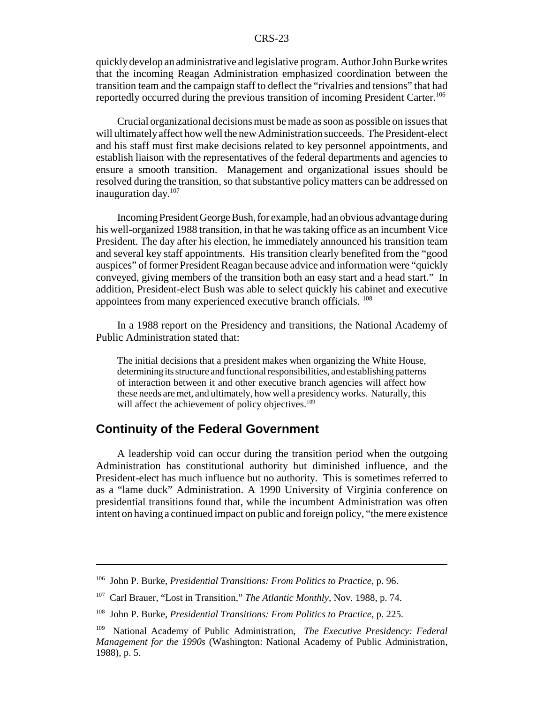quickly develop an administrative and legislative program. Author John Burke writes that the incoming Reagan Administration emphasized coordination between the transition team and the campaign staff to deflect the "rivalries and tensions" that had reportedly occurred during the previous transition of incoming President Carter.<sup>106</sup>

Crucial organizational decisions must be made as soon as possible on issues that will ultimately affect how well the new Administration succeeds. The President-elect and his staff must first make decisions related to key personnel appointments, and establish liaison with the representatives of the federal departments and agencies to ensure a smooth transition. Management and organizational issues should be resolved during the transition, so that substantive policy matters can be addressed on inauguration day.107

Incoming President George Bush, for example, had an obvious advantage during his well-organized 1988 transition, in that he was taking office as an incumbent Vice President. The day after his election, he immediately announced his transition team and several key staff appointments. His transition clearly benefited from the "good auspices" of former President Reagan because advice and information were "quickly conveyed, giving members of the transition both an easy start and a head start." In addition, President-elect Bush was able to select quickly his cabinet and executive appointees from many experienced executive branch officials. <sup>108</sup>

In a 1988 report on the Presidency and transitions, the National Academy of Public Administration stated that:

The initial decisions that a president makes when organizing the White House, determining its structure and functional responsibilities, and establishing patterns of interaction between it and other executive branch agencies will affect how these needs are met, and ultimately, how well a presidency works. Naturally, this will affect the achievement of policy objectives.<sup>109</sup>

### **Continuity of the Federal Government**

A leadership void can occur during the transition period when the outgoing Administration has constitutional authority but diminished influence, and the President-elect has much influence but no authority. This is sometimes referred to as a "lame duck" Administration. A 1990 University of Virginia conference on presidential transitions found that, while the incumbent Administration was often intent on having a continued impact on public and foreign policy, "the mere existence

<sup>106</sup> John P. Burke, *Presidential Transitions: From Politics to Practice*, p. 96.

<sup>107</sup> Carl Brauer, "Lost in Transition," *The Atlantic Monthly*, Nov. 1988, p. 74.

<sup>108</sup> John P. Burke, *Presidential Transitions: From Politics to Practice*, p. 225.

<sup>109</sup> National Academy of Public Administration, *The Executive Presidency: Federal Management for the 1990s* (Washington: National Academy of Public Administration, 1988), p. 5.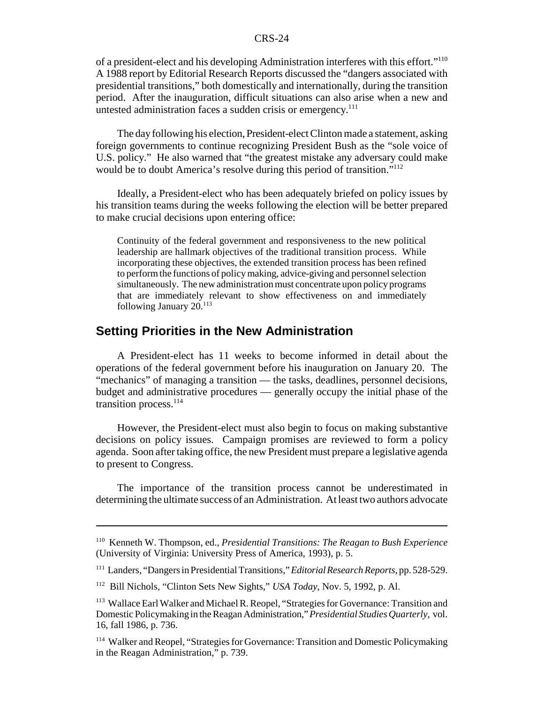of a president-elect and his developing Administration interferes with this effort."110 A 1988 report by Editorial Research Reports discussed the "dangers associated with presidential transitions," both domestically and internationally, during the transition period. After the inauguration, difficult situations can also arise when a new and untested administration faces a sudden crisis or emergency. $111$ 

The day following his election, President-elect Clinton made a statement, asking foreign governments to continue recognizing President Bush as the "sole voice of U.S. policy." He also warned that "the greatest mistake any adversary could make would be to doubt America's resolve during this period of transition."<sup>112</sup>

Ideally, a President-elect who has been adequately briefed on policy issues by his transition teams during the weeks following the election will be better prepared to make crucial decisions upon entering office:

Continuity of the federal government and responsiveness to the new political leadership are hallmark objectives of the traditional transition process. While incorporating these objectives, the extended transition process has been refined to perform the functions of policy making, advice-giving and personnel selection simultaneously. The new administration must concentrate upon policy programs that are immediately relevant to show effectiveness on and immediately following January  $20.^{113}$ 

### **Setting Priorities in the New Administration**

A President-elect has 11 weeks to become informed in detail about the operations of the federal government before his inauguration on January 20. The "mechanics" of managing a transition — the tasks, deadlines, personnel decisions, budget and administrative procedures — generally occupy the initial phase of the transition process.<sup>114</sup>

However, the President-elect must also begin to focus on making substantive decisions on policy issues. Campaign promises are reviewed to form a policy agenda. Soon after taking office, the new President must prepare a legislative agenda to present to Congress.

The importance of the transition process cannot be underestimated in determining the ultimate success of an Administration. At least two authors advocate

<sup>110</sup> Kenneth W. Thompson, ed., *Presidential Transitions: The Reagan to Bush Experience* (University of Virginia: University Press of America, 1993), p. 5.

<sup>111</sup> Landers, "Dangers in Presidential Transitions," *Editorial Research Reports*, pp. 528-529.

<sup>112</sup> Bill Nichols, "Clinton Sets New Sights," *USA Today*, Nov. 5, 1992, p. Al.

<sup>113</sup> Wallace Earl Walker and Michael R. Reopel, "Strategies for Governance: Transition and Domestic Policymaking in the Reagan Administration," *Presidential Studies Quarterly*, vol. 16, fall 1986, p. 736.

<sup>114</sup> Walker and Reopel, "Strategies for Governance: Transition and Domestic Policymaking in the Reagan Administration," p. 739.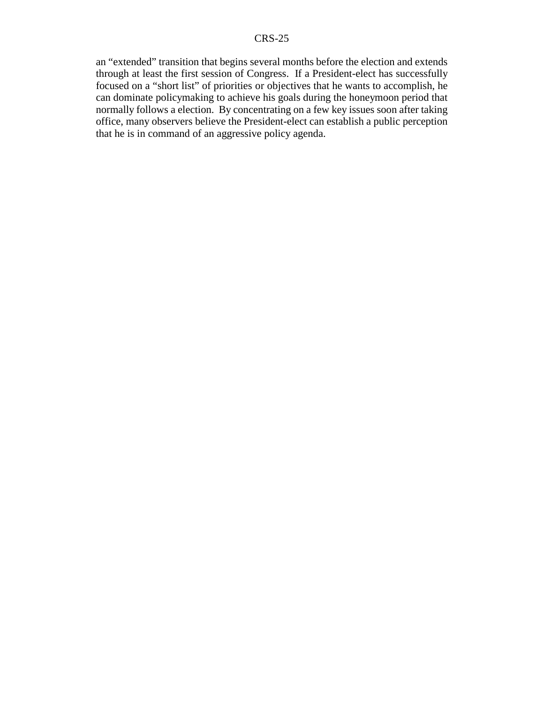an "extended" transition that begins several months before the election and extends through at least the first session of Congress. If a President-elect has successfully focused on a "short list" of priorities or objectives that he wants to accomplish, he can dominate policymaking to achieve his goals during the honeymoon period that normally follows a election. By concentrating on a few key issues soon after taking office, many observers believe the President-elect can establish a public perception that he is in command of an aggressive policy agenda.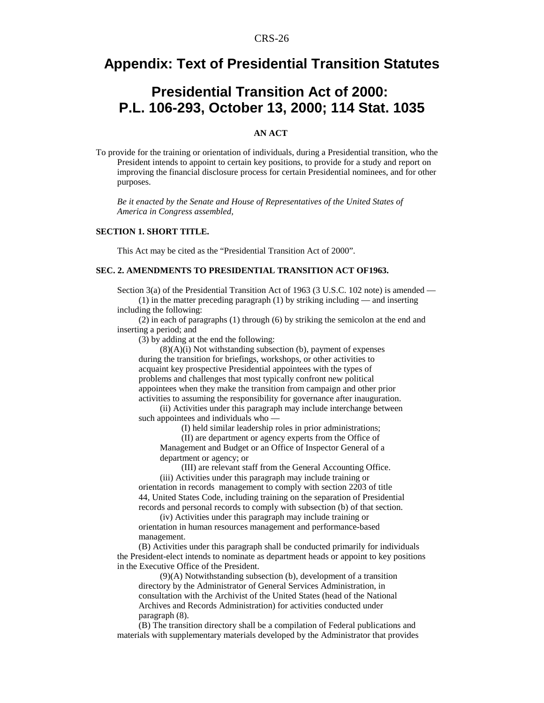### **Appendix: Text of Presidential Transition Statutes**

# **Presidential Transition Act of 2000: P.L. 106-293, October 13, 2000; 114 Stat. 1035**

### **AN ACT**

To provide for the training or orientation of individuals, during a Presidential transition, who the President intends to appoint to certain key positions, to provide for a study and report on improving the financial disclosure process for certain Presidential nominees, and for other purposes.

*Be it enacted by the Senate and House of Representatives of the United States of America in Congress assembled,*

#### **SECTION 1. SHORT TITLE.**

This Act may be cited as the "Presidential Transition Act of 2000".

#### **SEC. 2. AMENDMENTS TO PRESIDENTIAL TRANSITION ACT OF1963.**

Section 3(a) of the Presidential Transition Act of 1963 (3 U.S.C. 102 note) is amended — (1) in the matter preceding paragraph (1) by striking including — and inserting including the following:

(2) in each of paragraphs (1) through (6) by striking the semicolon at the end and inserting a period; and

(3) by adding at the end the following:

 $(8)(A)(i)$  Not withstanding subsection (b), payment of expenses during the transition for briefings, workshops, or other activities to acquaint key prospective Presidential appointees with the types of problems and challenges that most typically confront new political appointees when they make the transition from campaign and other prior activities to assuming the responsibility for governance after inauguration.

(ii) Activities under this paragraph may include interchange between such appointees and individuals who —

(I) held similar leadership roles in prior administrations;

(II) are department or agency experts from the Office of Management and Budget or an Office of Inspector General of a

department or agency; or

(III) are relevant staff from the General Accounting Office. (iii) Activities under this paragraph may include training or orientation in records management to comply with section 2203 of title 44, United States Code, including training on the separation of Presidential records and personal records to comply with subsection (b) of that section.

(iv) Activities under this paragraph may include training or orientation in human resources management and performance-based management.

(B) Activities under this paragraph shall be conducted primarily for individuals the President-elect intends to nominate as department heads or appoint to key positions in the Executive Office of the President.

(9)(A) Notwithstanding subsection (b), development of a transition directory by the Administrator of General Services Administration, in consultation with the Archivist of the United States (head of the National Archives and Records Administration) for activities conducted under paragraph (8).

(B) The transition directory shall be a compilation of Federal publications and materials with supplementary materials developed by the Administrator that provides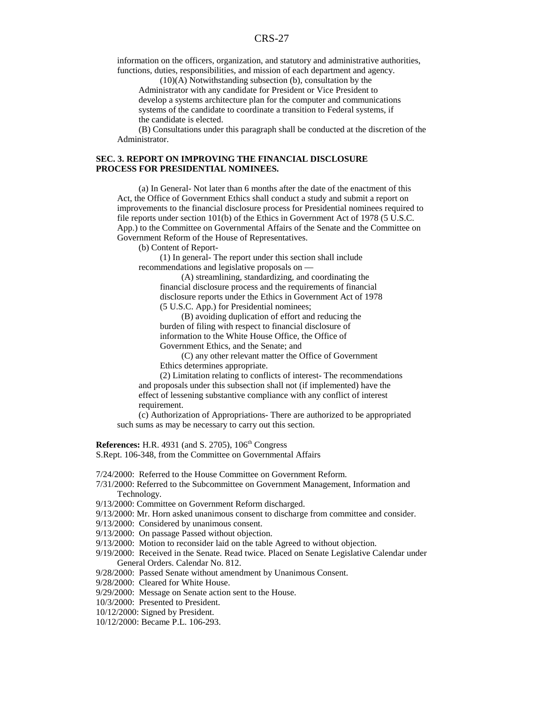information on the officers, organization, and statutory and administrative authorities, functions, duties, responsibilities, and mission of each department and agency.

 $(10)(A)$  Notwithstanding subsection (b), consultation by the

Administrator with any candidate for President or Vice President to develop a systems architecture plan for the computer and communications systems of the candidate to coordinate a transition to Federal systems, if the candidate is elected.

(B) Consultations under this paragraph shall be conducted at the discretion of the Administrator.

#### **SEC. 3. REPORT ON IMPROVING THE FINANCIAL DISCLOSURE PROCESS FOR PRESIDENTIAL NOMINEES.**

(a) In General- Not later than 6 months after the date of the enactment of this Act, the Office of Government Ethics shall conduct a study and submit a report on improvements to the financial disclosure process for Presidential nominees required to file reports under section 101(b) of the Ethics in Government Act of 1978 (5 U.S.C. App.) to the Committee on Governmental Affairs of the Senate and the Committee on Government Reform of the House of Representatives.

(b) Content of Report-

(1) In general- The report under this section shall include recommendations and legislative proposals on —

(A) streamlining, standardizing, and coordinating the financial disclosure process and the requirements of financial disclosure reports under the Ethics in Government Act of 1978 (5 U.S.C. App.) for Presidential nominees;

(B) avoiding duplication of effort and reducing the burden of filing with respect to financial disclosure of information to the White House Office, the Office of Government Ethics, and the Senate; and

(C) any other relevant matter the Office of Government Ethics determines appropriate.

(2) Limitation relating to conflicts of interest- The recommendations and proposals under this subsection shall not (if implemented) have the effect of lessening substantive compliance with any conflict of interest requirement.

(c) Authorization of Appropriations- There are authorized to be appropriated such sums as may be necessary to carry out this section.

**References:** H.R. 4931 (and S. 2705), 106<sup>th</sup> Congress

S.Rept. 106-348, from the Committee on Governmental Affairs

7/24/2000: Referred to the House Committee on Government Reform.

- 7/31/2000: Referred to the Subcommittee on Government Management, Information and Technology.
- 9/13/2000: Committee on Government Reform discharged.
- 9/13/2000: Mr. Horn asked unanimous consent to discharge from committee and consider.
- 9/13/2000: Considered by unanimous consent.
- 9/13/2000: On passage Passed without objection.
- 9/13/2000: Motion to reconsider laid on the table Agreed to without objection.
- 9/19/2000: Received in the Senate. Read twice. Placed on Senate Legislative Calendar under General Orders. Calendar No. 812.
- 9/28/2000: Passed Senate without amendment by Unanimous Consent.
- 9/28/2000: Cleared for White House.
- 9/29/2000: Message on Senate action sent to the House.
- 10/3/2000: Presented to President.
- 10/12/2000: Signed by President.
- 10/12/2000: Became P.L. 106-293.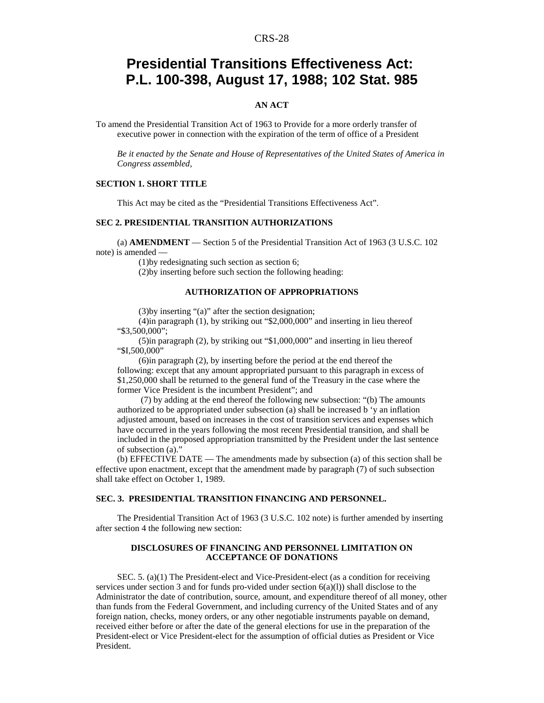# **Presidential Transitions Effectiveness Act: P.L. 100-398, August 17, 1988; 102 Stat. 985**

#### **AN ACT**

To amend the Presidential Transition Act of 1963 to Provide for a more orderly transfer of executive power in connection with the expiration of the term of office of a President

*Be it enacted by the Senate and House of Representatives of the United States of America in Congress assembled,*

#### **SECTION 1. SHORT TITLE**

This Act may be cited as the "Presidential Transitions Effectiveness Act".

#### **SEC 2. PRESIDENTIAL TRANSITION AUTHORIZATIONS**

(a) **AMENDMENT** — Section 5 of the Presidential Transition Act of 1963 (3 U.S.C. 102 note) is amended —

(1)by redesignating such section as section 6;

(2)by inserting before such section the following heading:

#### **AUTHORIZATION OF APPROPRIATIONS**

(3)by inserting "(a)" after the section designation;

(4)in paragraph (1), by striking out "\$2,000,000" and inserting in lieu thereof "\$3,500,000";

(5)in paragraph (2), by striking out "\$1,000,000" and inserting in lieu thereof "\$I,500,000"

(6)in paragraph (2), by inserting before the period at the end thereof the following: except that any amount appropriated pursuant to this paragraph in excess of \$1,250,000 shall be returned to the general fund of the Treasury in the case where the former Vice President is the incumbent President"; and

 (7) by adding at the end thereof the following new subsection: "(b) The amounts authorized to be appropriated under subsection (a) shall be increased b 'y an inflation adjusted amount, based on increases in the cost of transition services and expenses which have occurred in the years following the most recent Presidential transition, and shall be included in the proposed appropriation transmitted by the President under the last sentence of subsection (a)."

(b) EFFECTIVE DATE — The amendments made by subsection (a) of this section shall be effective upon enactment, except that the amendment made by paragraph (7) of such subsection shall take effect on October 1, 1989.

#### **SEC. 3. PRESIDENTIAL TRANSITION FINANCING AND PERSONNEL.**

The Presidential Transition Act of 1963 (3 U.S.C. 102 note) is further amended by inserting after section 4 the following new section:

#### **DISCLOSURES OF FINANCING AND PERSONNEL LIMITATION ON ACCEPTANCE OF DONATIONS**

SEC. 5. (a)(1) The President-elect and Vice-President-elect (as a condition for receiving services under section 3 and for funds pro-vided under section  $6(a)(1)$ ) shall disclose to the Administrator the date of contribution, source, amount, and expenditure thereof of all money, other than funds from the Federal Government, and including currency of the United States and of any foreign nation, checks, money orders, or any other negotiable instruments payable on demand, received either before or after the date of the general elections for use in the preparation of the President-elect or Vice President-elect for the assumption of official duties as President or Vice President.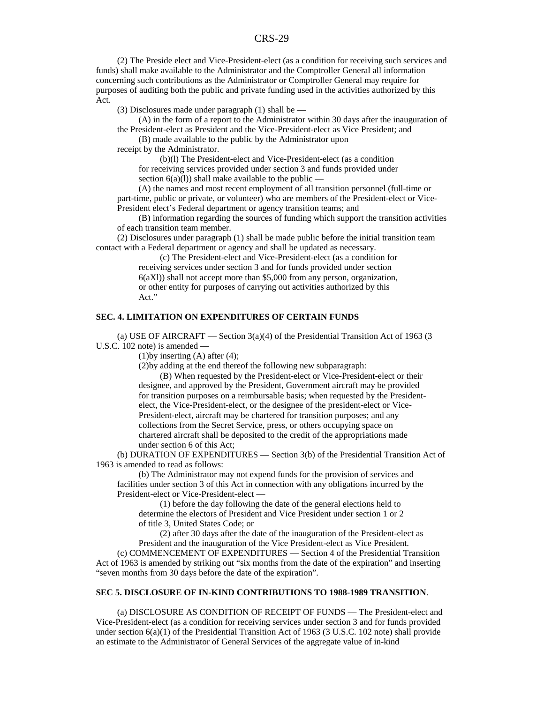(2) The Preside elect and Vice-President-elect (as a condition for receiving such services and funds) shall make available to the Administrator and the Comptroller General all information concerning such contributions as the Administrator or Comptroller General may require for purposes of auditing both the public and private funding used in the activities authorized by this Act.

(3) Disclosures made under paragraph (1) shall be —

(A) in the form of a report to the Administrator within 30 days after the inauguration of the President-elect as President and the Vice-President-elect as Vice President; and

(B) made available to the public by the Administrator upon

receipt by the Administrator.

(b)(l) The President-elect and Vice-President-elect (as a condition for receiving services provided under section 3 and funds provided under section  $6(a)(l)$  shall make available to the public —

(A) the names and most recent employment of all transition personnel (full-time or part-time, public or private, or volunteer) who are members of the President-elect or Vice-President elect's Federal department or agency transition teams; and

(B) information regarding the sources of funding which support the transition activities of each transition team member.

(2) Disclosures under paragraph (1) shall be made public before the initial transition team contact with a Federal department or agency and shall be updated as necessary.

> (c) The President-elect and Vice-President-elect (as a condition for receiving services under section 3 and for funds provided under section 6(aXl)) shall not accept more than \$5,000 from any person, organization, or other entity for purposes of carrying out activities authorized by this Act."

#### **SEC. 4. LIMITATION ON EXPENDITURES OF CERTAIN FUNDS**

(a) USE OF AIRCRAFT — Section 3(a)(4) of the Presidential Transition Act of 1963 (3 U.S.C. 102 note) is amended —

(1)by inserting (A) after (4);

(2)by adding at the end thereof the following new subparagraph:

(B) When requested by the President-elect or Vice-President-elect or their designee, and approved by the President, Government aircraft may be provided for transition purposes on a reimbursable basis; when requested by the Presidentelect, the Vice-President-elect, or the designee of the president-elect or Vice-President-elect, aircraft may be chartered for transition purposes; and any collections from the Secret Service, press, or others occupying space on chartered aircraft shall be deposited to the credit of the appropriations made under section 6 of this Act;

(b) DURATION OF EXPENDITURES — Section 3(b) of the Presidential Transition Act of 1963 is amended to read as follows:

(b) The Administrator may not expend funds for the provision of services and facilities under section 3 of this Act in connection with any obligations incurred by the President-elect or Vice-President-elect —

(1) before the day following the date of the general elections held to determine the electors of President and Vice President under section 1 or 2 of title 3, United States Code; or

(2) after 30 days after the date of the inauguration of the President-elect as President and the inauguration of the Vice President-elect as Vice President.

(c) COMMENCEMENT OF EXPENDITURES — Section 4 of the Presidential Transition Act of 1963 is amended by striking out "six months from the date of the expiration" and inserting "seven months from 30 days before the date of the expiration".

#### **SEC 5. DISCLOSURE OF IN-KIND CONTRIBUTIONS TO 1988-1989 TRANSITION**.

(a) DISCLOSURE AS CONDITION OF RECEIPT OF FUNDS — The President-elect and Vice-President-elect (as a condition for receiving services under section 3 and for funds provided under section  $6(a)(1)$  of the Presidential Transition Act of 1963 (3 U.S.C. 102 note) shall provide an estimate to the Administrator of General Services of the aggregate value of in-kind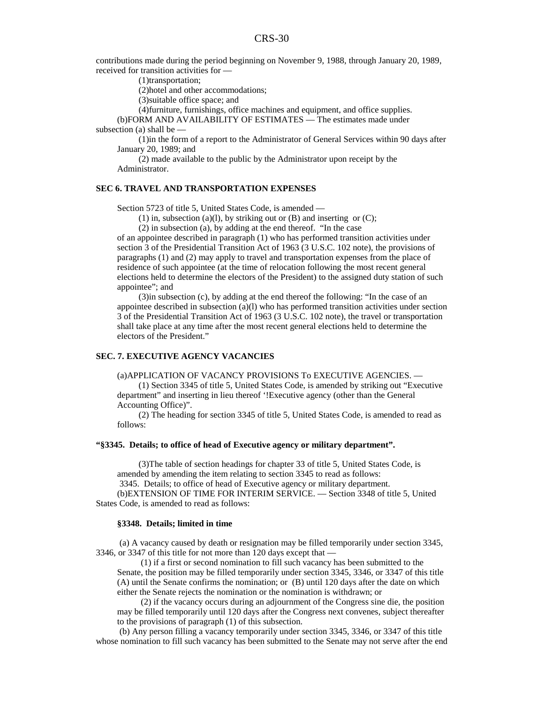contributions made during the period beginning on November 9, 1988, through January 20, 1989, received for transition activities for —

(1)transportation;

(2)hotel and other accommodations;

(3)suitable office space; and

(4)furniture, furnishings, office machines and equipment, and office supplies.

(b)FORM AND AVAILABILITY OF ESTIMATES — The estimates made under subsection (a) shall be —

(1)in the form of a report to the Administrator of General Services within 90 days after January 20, 1989; and

(2) made available to the public by the Administrator upon receipt by the Administrator.

#### **SEC 6. TRAVEL AND TRANSPORTATION EXPENSES**

Section 5723 of title 5, United States Code, is amended —

(1) in, subsection (a)(1), by striking out or  $(B)$  and inserting or  $(C)$ ;

(2) in subsection (a), by adding at the end thereof. "In the case

of an appointee described in paragraph (1) who has performed transition activities under section 3 of the Presidential Transition Act of 1963 (3 U.S.C. 102 note), the provisions of paragraphs (1) and (2) may apply to travel and transportation expenses from the place of residence of such appointee (at the time of relocation following the most recent general elections held to determine the electors of the President) to the assigned duty station of such appointee"; and

(3)in subsection (c), by adding at the end thereof the following: "In the case of an appointee described in subsection (a)(l) who has performed transition activities under section 3 of the Presidential Transition Act of 1963 (3 U.S.C. 102 note), the travel or transportation shall take place at any time after the most recent general elections held to determine the electors of the President."

#### **SEC. 7. EXECUTIVE AGENCY VACANCIES**

(a)APPLICATION OF VACANCY PROVISIONS To EXECUTIVE AGENCIES. —

(1) Section 3345 of title 5, United States Code, is amended by striking out "Executive department" and inserting in lieu thereof '!Executive agency (other than the General Accounting Office)".

(2) The heading for section 3345 of title 5, United States Code, is amended to read as follows:

#### **"§3345. Details; to office of head of Executive agency or military department".**

(3)The table of section headings for chapter 33 of title 5, United States Code, is amended by amending the item relating to section 3345 to read as follows:

3345. Details; to office of head of Executive agency or military department.

(b)EXTENSION OF TIME FOR INTERIM SERVICE. — Section 3348 of title 5, United States Code, is amended to read as follows:

#### **§3348. Details; limited in time**

 (a) A vacancy caused by death or resignation may be filled temporarily under section 3345, 3346, or 3347 of this title for not more than 120 days except that —

 (1) if a first or second nomination to fill such vacancy has been submitted to the Senate, the position may be filled temporarily under section 3345, 3346, or 3347 of this title (A) until the Senate confirms the nomination; or (B) until 120 days after the date on which either the Senate rejects the nomination or the nomination is withdrawn; or

 (2) if the vacancy occurs during an adjournment of the Congress sine die, the position may be filled temporarily until 120 days after the Congress next convenes, subject thereafter to the provisions of paragraph (1) of this subsection.

 (b) Any person filling a vacancy temporarily under section 3345, 3346, or 3347 of this title whose nomination to fill such vacancy has been submitted to the Senate may not serve after the end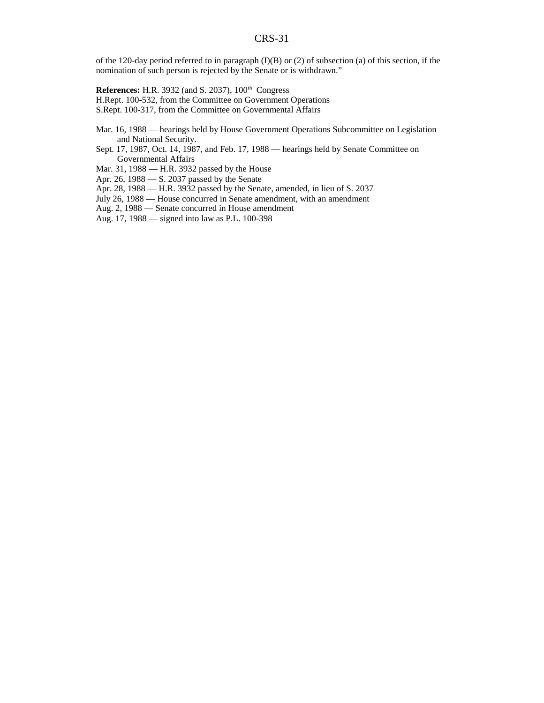of the 120-day period referred to in paragraph  $(I)(B)$  or (2) of subsection (a) of this section, if the nomination of such person is rejected by the Senate or is withdrawn."

**References:** H.R. 3932 (and S. 2037), 100<sup>th</sup> Congress H.Rept. 100-532, from the Committee on Government Operations S.Rept. 100-317, from the Committee on Governmental Affairs

- Mar. 16, 1988 hearings held by House Government Operations Subcommittee on Legislation and National Security.
- Sept. 17, 1987, Oct. 14, 1987, and Feb. 17, 1988 hearings held by Senate Committee on Governmental Affairs
- Mar. 31, 1988 H.R. 3932 passed by the House
- Apr. 26, 1988 S. 2037 passed by the Senate
- Apr. 28, 1988 H.R. 3932 passed by the Senate, amended, in lieu of S. 2037
- July 26, 1988 House concurred in Senate amendment, with an amendment
- Aug. 2, 1988 Senate concurred in House amendment
- Aug. 17, 1988 signed into law as P.L. 100-398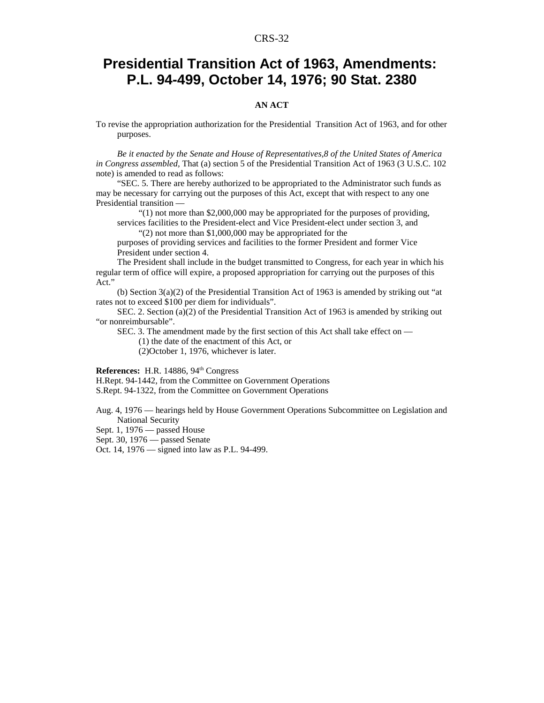# **Presidential Transition Act of 1963, Amendments: P.L. 94-499, October 14, 1976; 90 Stat. 2380**

### **AN ACT**

To revise the appropriation authorization for the Presidential Transition Act of 1963, and for other purposes.

*Be it enacted by the Senate and House of Representatives,8 of the United States of America in Congress assembled,* That (a) section 5 of the Presidential Transition Act of 1963 (3 U.S.C. 102 note) is amended to read as follows:

"SEC. 5. There are hereby authorized to be appropriated to the Administrator such funds as may be necessary for carrying out the purposes of this Act, except that with respect to any one Presidential transition —

 $\degree$ (1) not more than \$2,000,000 may be appropriated for the purposes of providing, services facilities to the President-elect and Vice President-elect under section 3, and

"(2) not more than \$1,000,000 may be appropriated for the

purposes of providing services and facilities to the former President and former Vice President under section 4.

The President shall include in the budget transmitted to Congress, for each year in which his regular term of office will expire, a proposed appropriation for carrying out the purposes of this Act."

(b) Section 3(a)(2) of the Presidential Transition Act of 1963 is amended by striking out "at rates not to exceed \$100 per diem for individuals".

SEC. 2. Section (a)(2) of the Presidential Transition Act of 1963 is amended by striking out "or nonreimbursable".

SEC. 3. The amendment made by the first section of this Act shall take effect on —

(1) the date of the enactment of this Act, or

(2)October 1, 1976, whichever is later.

**References:** H.R. 14886, 94<sup>th</sup> Congress

H.Rept. 94-1442, from the Committee on Government Operations

S.Rept. 94-1322, from the Committee on Government Operations

Aug. 4, 1976 — hearings held by House Government Operations Subcommittee on Legislation and National Security

Sept. 1, 1976 — passed House

Sept. 30, 1976 — passed Senate

Oct. 14, 1976 — signed into law as P.L. 94-499.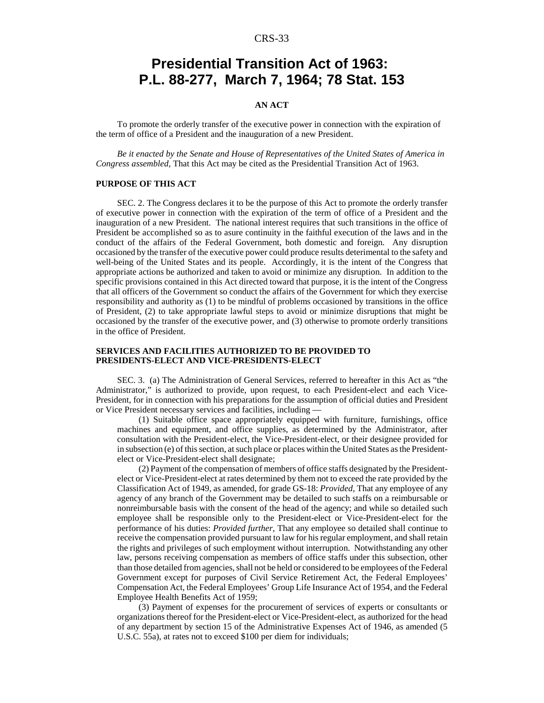# **Presidential Transition Act of 1963: P.L. 88-277, March 7, 1964; 78 Stat. 153**

#### **AN ACT**

To promote the orderly transfer of the executive power in connection with the expiration of the term of office of a President and the inauguration of a new President.

*Be it enacted by the Senate and House of Representatives of the United States of America in Congress assembled,* That this Act may be cited as the Presidential Transition Act of 1963.

#### **PURPOSE OF THIS ACT**

SEC. 2. The Congress declares it to be the purpose of this Act to promote the orderly transfer of executive power in connection with the expiration of the term of office of a President and the inauguration of a new President. The national interest requires that such transitions in the office of President be accomplished so as to asure continuity in the faithful execution of the laws and in the conduct of the affairs of the Federal Government, both domestic and foreign. Any disruption occasioned by the transfer of the executive power could produce results deterimental to the safety and well-being of the United States and its people. Accordingly, it is the intent of the Congress that appropriate actions be authorized and taken to avoid or minimize any disruption. In addition to the specific provisions contained in this Act directed toward that purpose, it is the intent of the Congress that all officers of the Government so conduct the affairs of the Government for which they exercise responsibility and authority as (1) to be mindful of problems occasioned by transitions in the office of President, (2) to take appropriate lawful steps to avoid or minimize disruptions that might be occasioned by the transfer of the executive power, and (3) otherwise to promote orderly transitions in the office of President.

#### **SERVICES AND FACILITIES AUTHORIZED TO BE PROVIDED TO PRESIDENTS-ELECT AND VICE-PRESIDENTS-ELECT**

SEC. 3. (a) The Administration of General Services, referred to hereafter in this Act as "the Administrator," is authorized to provide, upon request, to each President-elect and each Vice-President, for in connection with his preparations for the assumption of official duties and President or Vice President necessary services and facilities, including —

(1) Suitable office space appropriately equipped with furniture, furnishings, office machines and equipment, and office supplies, as determined by the Administrator, after consultation with the President-elect, the Vice-President-elect, or their designee provided for in subsection (e) of this section, at such place or places within the United States as the Presidentelect or Vice-President-elect shall designate;

(2) Payment of the compensation of members of office staffs designated by the Presidentelect or Vice-President-elect at rates determined by them not to exceed the rate provided by the Classification Act of 1949, as amended, for grade GS-18: *Provided,* That any employee of any agency of any branch of the Government may be detailed to such staffs on a reimbursable or nonreimbursable basis with the consent of the head of the agency; and while so detailed such employee shall be responsible only to the President-elect or Vice-President-elect for the performance of his duties: *Provided further,* That any employee so detailed shall continue to receive the compensation provided pursuant to law for his regular employment, and shall retain the rights and privileges of such employment without interruption. Notwithstanding any other law, persons receiving compensation as members of office staffs under this subsection, other than those detailed from agencies, shall not be held or considered to be employees of the Federal Government except for purposes of Civil Service Retirement Act, the Federal Employees' Compensation Act, the Federal Employees' Group Life Insurance Act of 1954, and the Federal Employee Health Benefits Act of 1959;

(3) Payment of expenses for the procurement of services of experts or consultants or organizations thereof for the President-elect or Vice-President-elect, as authorized for the head of any department by section 15 of the Administrative Expenses Act of 1946, as amended (5 U.S.C. 55a), at rates not to exceed \$100 per diem for individuals;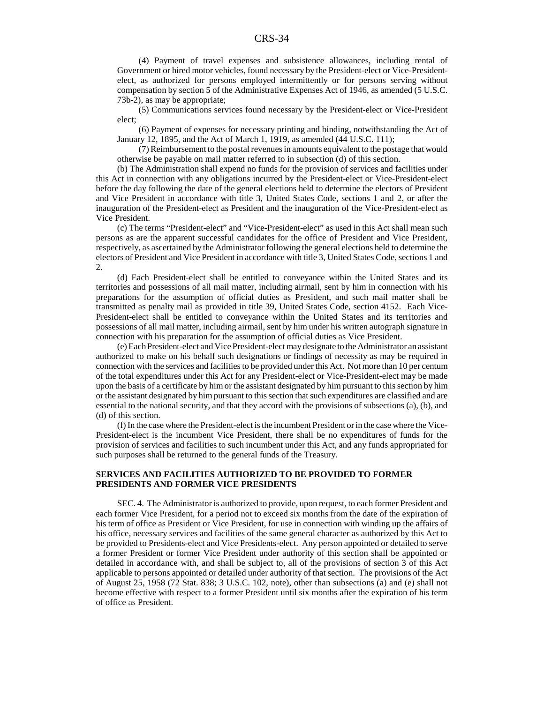(4) Payment of travel expenses and subsistence allowances, including rental of Government or hired motor vehicles, found necessary by the President-elect or Vice-Presidentelect, as authorized for persons employed intermittently or for persons serving without compensation by section 5 of the Administrative Expenses Act of 1946, as amended (5 U.S.C. 73b-2), as may be appropriate;

(5) Communications services found necessary by the President-elect or Vice-President elect;

(6) Payment of expenses for necessary printing and binding, notwithstanding the Act of January 12, 1895, and the Act of March 1, 1919, as amended (44 U.S.C. 111);

(7) Reimbursement to the postal revenues in amounts equivalent to the postage that would otherwise be payable on mail matter referred to in subsection (d) of this section.

(b) The Administration shall expend no funds for the provision of services and facilities under this Act in connection with any obligations incurred by the President-elect or Vice-President-elect before the day following the date of the general elections held to determine the electors of President and Vice President in accordance with title 3, United States Code, sections 1 and 2, or after the inauguration of the President-elect as President and the inauguration of the Vice-President-elect as Vice President.

(c) The terms "President-elect" and "Vice-President-elect" as used in this Act shall mean such persons as are the apparent successful candidates for the office of President and Vice President, respectively, as ascertained by the Administrator following the general elections held to determine the electors of President and Vice President in accordance with title 3, United States Code, sections 1 and 2.

(d) Each President-elect shall be entitled to conveyance within the United States and its territories and possessions of all mail matter, including airmail, sent by him in connection with his preparations for the assumption of official duties as President, and such mail matter shall be transmitted as penalty mail as provided in title 39, United States Code, section 4152. Each Vice-President-elect shall be entitled to conveyance within the United States and its territories and possessions of all mail matter, including airmail, sent by him under his written autograph signature in connection with his preparation for the assumption of official duties as Vice President.

(e) Each President-elect and Vice President-elect may designate to the Administrator an assistant authorized to make on his behalf such designations or findings of necessity as may be required in connection with the services and facilities to be provided under this Act. Not more than 10 per centum of the total expenditures under this Act for any President-elect or Vice-President-elect may be made upon the basis of a certificate by him or the assistant designated by him pursuant to this section by him or the assistant designated by him pursuant to this section that such expenditures are classified and are essential to the national security, and that they accord with the provisions of subsections (a), (b), and (d) of this section.

(f) In the case where the President-elect is the incumbent President or in the case where the Vice-President-elect is the incumbent Vice President, there shall be no expenditures of funds for the provision of services and facilities to such incumbent under this Act, and any funds appropriated for such purposes shall be returned to the general funds of the Treasury.

#### **SERVICES AND FACILITIES AUTHORIZED TO BE PROVIDED TO FORMER PRESIDENTS AND FORMER VICE PRESIDENTS**

SEC. 4. The Administrator is authorized to provide, upon request, to each former President and each former Vice President, for a period not to exceed six months from the date of the expiration of his term of office as President or Vice President, for use in connection with winding up the affairs of his office, necessary services and facilities of the same general character as authorized by this Act to be provided to Presidents-elect and Vice Presidents-elect. Any person appointed or detailed to serve a former President or former Vice President under authority of this section shall be appointed or detailed in accordance with, and shall be subject to, all of the provisions of section 3 of this Act applicable to persons appointed or detailed under authority of that section. The provisions of the Act of August 25, 1958 (72 Stat. 838; 3 U.S.C. 102, note), other than subsections (a) and (e) shall not become effective with respect to a former President until six months after the expiration of his term of office as President.